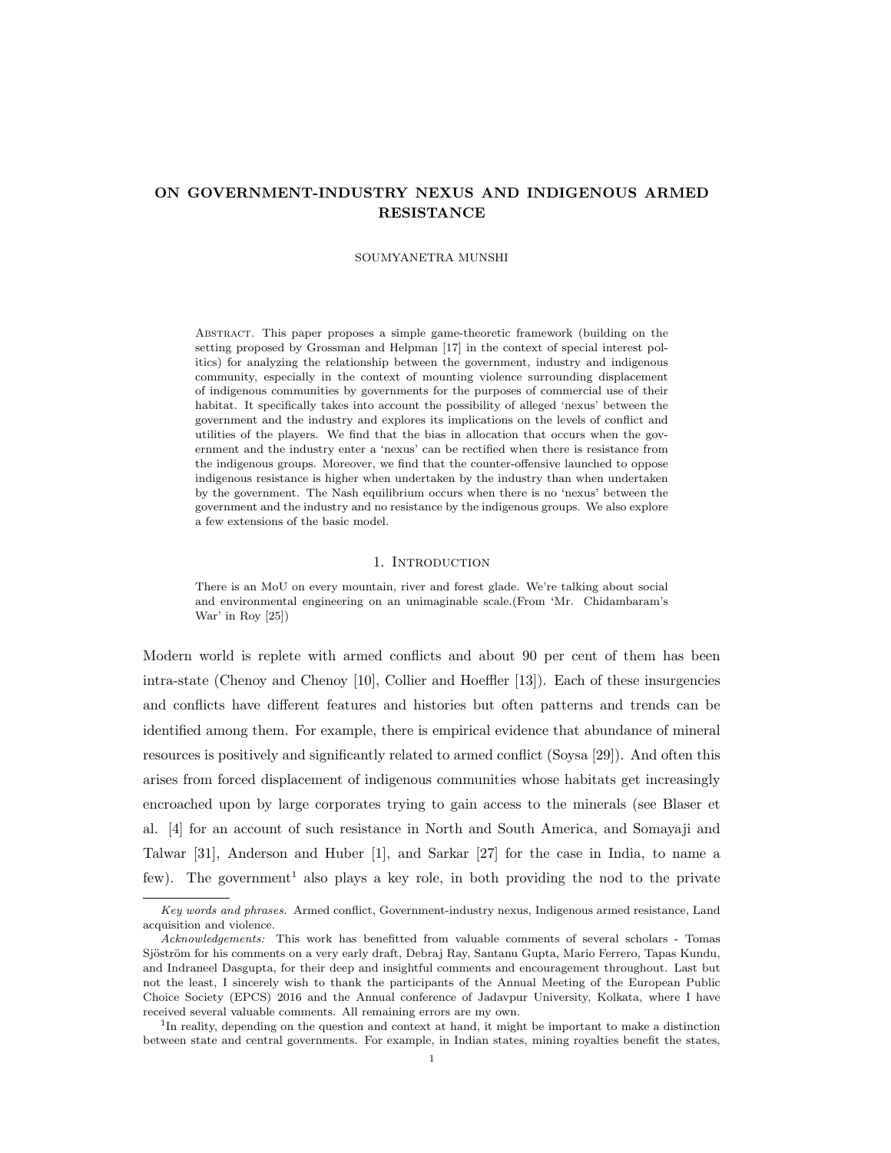# ON GOVERNMENT-INDUSTRY NEXUS AND INDIGENOUS ARMED RESISTANCE

#### SOUMYANETRA MUNSHI

Abstract. This paper proposes a simple game-theoretic framework (building on the setting proposed by Grossman and Helpman [17] in the context of special interest politics) for analyzing the relationship between the government, industry and indigenous community, especially in the context of mounting violence surrounding displacement of indigenous communities by governments for the purposes of commercial use of their habitat. It specifically takes into account the possibility of alleged 'nexus' between the government and the industry and explores its implications on the levels of conflict and utilities of the players. We find that the bias in allocation that occurs when the government and the industry enter a 'nexus' can be rectified when there is resistance from the indigenous groups. Moreover, we find that the counter-offensive launched to oppose indigenous resistance is higher when undertaken by the industry than when undertaken by the government. The Nash equilibrium occurs when there is no 'nexus' between the government and the industry and no resistance by the indigenous groups. We also explore a few extensions of the basic model.

## 1. INTRODUCTION

There is an MoU on every mountain, river and forest glade. We're talking about social and environmental engineering on an unimaginable scale.(From 'Mr. Chidambaram's War' in Roy [25])

Modern world is replete with armed conflicts and about 90 per cent of them has been intra-state (Chenoy and Chenoy [10], Collier and Hoeffler [13]). Each of these insurgencies and conflicts have different features and histories but often patterns and trends can be identified among them. For example, there is empirical evidence that abundance of mineral resources is positively and significantly related to armed conflict (Soysa [29]). And often this arises from forced displacement of indigenous communities whose habitats get increasingly encroached upon by large corporates trying to gain access to the minerals (see Blaser et al. [4] for an account of such resistance in North and South America, and Somayaji and Talwar [31], Anderson and Huber [1], and Sarkar [27] for the case in India, to name a few). The government<sup>1</sup> also plays a key role, in both providing the nod to the private

Key words and phrases. Armed conflict, Government-industry nexus, Indigenous armed resistance, Land acquisition and violence.

Acknowledgements: This work has benefitted from valuable comments of several scholars - Tomas Sjöström for his comments on a very early draft, Debraj Ray, Santanu Gupta, Mario Ferrero, Tapas Kundu, and Indraneel Dasgupta, for their deep and insightful comments and encouragement throughout. Last but not the least, I sincerely wish to thank the participants of the Annual Meeting of the European Public Choice Society (EPCS) 2016 and the Annual conference of Jadavpur University, Kolkata, where I have received several valuable comments. All remaining errors are my own.

<sup>&</sup>lt;sup>1</sup>In reality, depending on the question and context at hand, it might be important to make a distinction between state and central governments. For example, in Indian states, mining royalties benefit the states,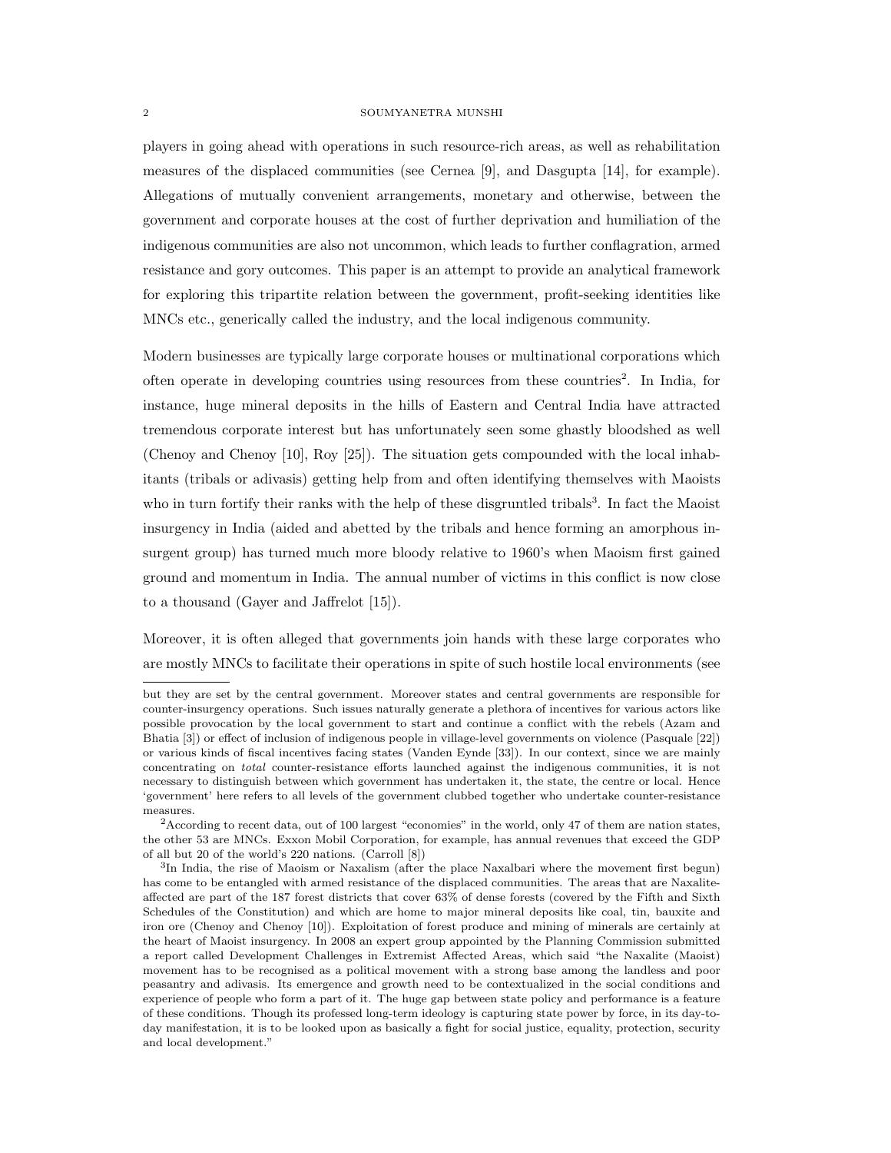players in going ahead with operations in such resource-rich areas, as well as rehabilitation measures of the displaced communities (see Cernea [9], and Dasgupta [14], for example). Allegations of mutually convenient arrangements, monetary and otherwise, between the government and corporate houses at the cost of further deprivation and humiliation of the indigenous communities are also not uncommon, which leads to further conflagration, armed resistance and gory outcomes. This paper is an attempt to provide an analytical framework for exploring this tripartite relation between the government, profit-seeking identities like MNCs etc., generically called the industry, and the local indigenous community.

Modern businesses are typically large corporate houses or multinational corporations which often operate in developing countries using resources from these countries<sup>2</sup> . In India, for instance, huge mineral deposits in the hills of Eastern and Central India have attracted tremendous corporate interest but has unfortunately seen some ghastly bloodshed as well (Chenoy and Chenoy [10], Roy [25]). The situation gets compounded with the local inhabitants (tribals or adivasis) getting help from and often identifying themselves with Maoists who in turn fortify their ranks with the help of these disgruntled tribals<sup>3</sup>. In fact the Maoist insurgency in India (aided and abetted by the tribals and hence forming an amorphous insurgent group) has turned much more bloody relative to 1960's when Maoism first gained ground and momentum in India. The annual number of victims in this conflict is now close to a thousand (Gayer and Jaffrelot [15]).

Moreover, it is often alleged that governments join hands with these large corporates who are mostly MNCs to facilitate their operations in spite of such hostile local environments (see

but they are set by the central government. Moreover states and central governments are responsible for counter-insurgency operations. Such issues naturally generate a plethora of incentives for various actors like possible provocation by the local government to start and continue a conflict with the rebels (Azam and Bhatia [3]) or effect of inclusion of indigenous people in village-level governments on violence (Pasquale [22]) or various kinds of fiscal incentives facing states (Vanden Eynde [33]). In our context, since we are mainly concentrating on total counter-resistance efforts launched against the indigenous communities, it is not necessary to distinguish between which government has undertaken it, the state, the centre or local. Hence 'government' here refers to all levels of the government clubbed together who undertake counter-resistance measures.

<sup>&</sup>lt;sup>2</sup>According to recent data, out of 100 largest "economies" in the world, only 47 of them are nation states, the other 53 are MNCs. Exxon Mobil Corporation, for example, has annual revenues that exceed the GDP of all but 20 of the world's 220 nations. (Carroll [8])

<sup>&</sup>lt;sup>3</sup>In India, the rise of Maoism or Naxalism (after the place Naxalbari where the movement first begun) has come to be entangled with armed resistance of the displaced communities. The areas that are Naxaliteaffected are part of the 187 forest districts that cover 63% of dense forests (covered by the Fifth and Sixth Schedules of the Constitution) and which are home to major mineral deposits like coal, tin, bauxite and iron ore (Chenoy and Chenoy [10]). Exploitation of forest produce and mining of minerals are certainly at the heart of Maoist insurgency. In 2008 an expert group appointed by the Planning Commission submitted a report called Development Challenges in Extremist Affected Areas, which said "the Naxalite (Maoist) movement has to be recognised as a political movement with a strong base among the landless and poor peasantry and adivasis. Its emergence and growth need to be contextualized in the social conditions and experience of people who form a part of it. The huge gap between state policy and performance is a feature of these conditions. Though its professed long-term ideology is capturing state power by force, in its day-today manifestation, it is to be looked upon as basically a fight for social justice, equality, protection, security and local development."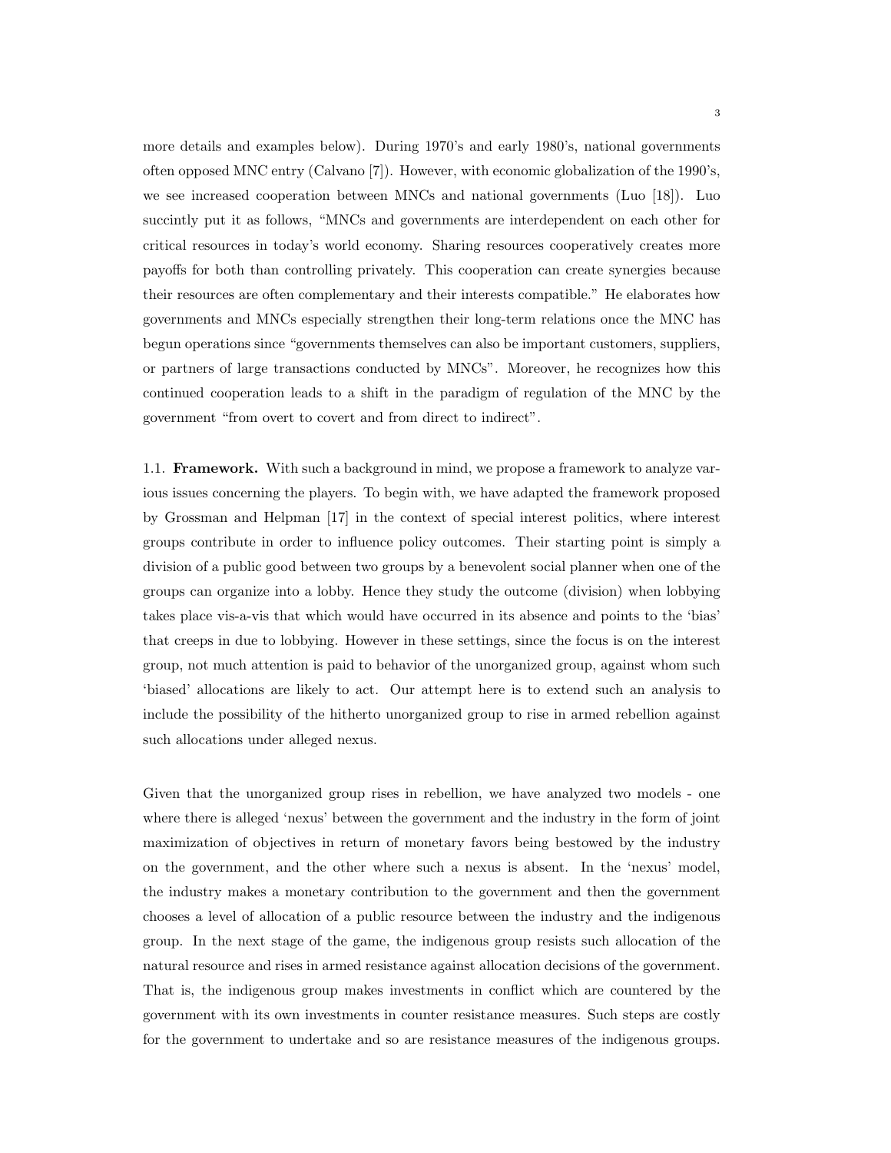more details and examples below). During 1970's and early 1980's, national governments often opposed MNC entry (Calvano [7]). However, with economic globalization of the 1990's, we see increased cooperation between MNCs and national governments (Luo [18]). Luo succintly put it as follows, "MNCs and governments are interdependent on each other for critical resources in today's world economy. Sharing resources cooperatively creates more payoffs for both than controlling privately. This cooperation can create synergies because their resources are often complementary and their interests compatible." He elaborates how governments and MNCs especially strengthen their long-term relations once the MNC has begun operations since "governments themselves can also be important customers, suppliers, or partners of large transactions conducted by MNCs". Moreover, he recognizes how this continued cooperation leads to a shift in the paradigm of regulation of the MNC by the government "from overt to covert and from direct to indirect".

1.1. Framework. With such a background in mind, we propose a framework to analyze various issues concerning the players. To begin with, we have adapted the framework proposed by Grossman and Helpman [17] in the context of special interest politics, where interest groups contribute in order to influence policy outcomes. Their starting point is simply a division of a public good between two groups by a benevolent social planner when one of the groups can organize into a lobby. Hence they study the outcome (division) when lobbying takes place vis-a-vis that which would have occurred in its absence and points to the 'bias' that creeps in due to lobbying. However in these settings, since the focus is on the interest group, not much attention is paid to behavior of the unorganized group, against whom such 'biased' allocations are likely to act. Our attempt here is to extend such an analysis to include the possibility of the hitherto unorganized group to rise in armed rebellion against such allocations under alleged nexus.

Given that the unorganized group rises in rebellion, we have analyzed two models - one where there is alleged 'nexus' between the government and the industry in the form of joint maximization of objectives in return of monetary favors being bestowed by the industry on the government, and the other where such a nexus is absent. In the 'nexus' model, the industry makes a monetary contribution to the government and then the government chooses a level of allocation of a public resource between the industry and the indigenous group. In the next stage of the game, the indigenous group resists such allocation of the natural resource and rises in armed resistance against allocation decisions of the government. That is, the indigenous group makes investments in conflict which are countered by the government with its own investments in counter resistance measures. Such steps are costly for the government to undertake and so are resistance measures of the indigenous groups.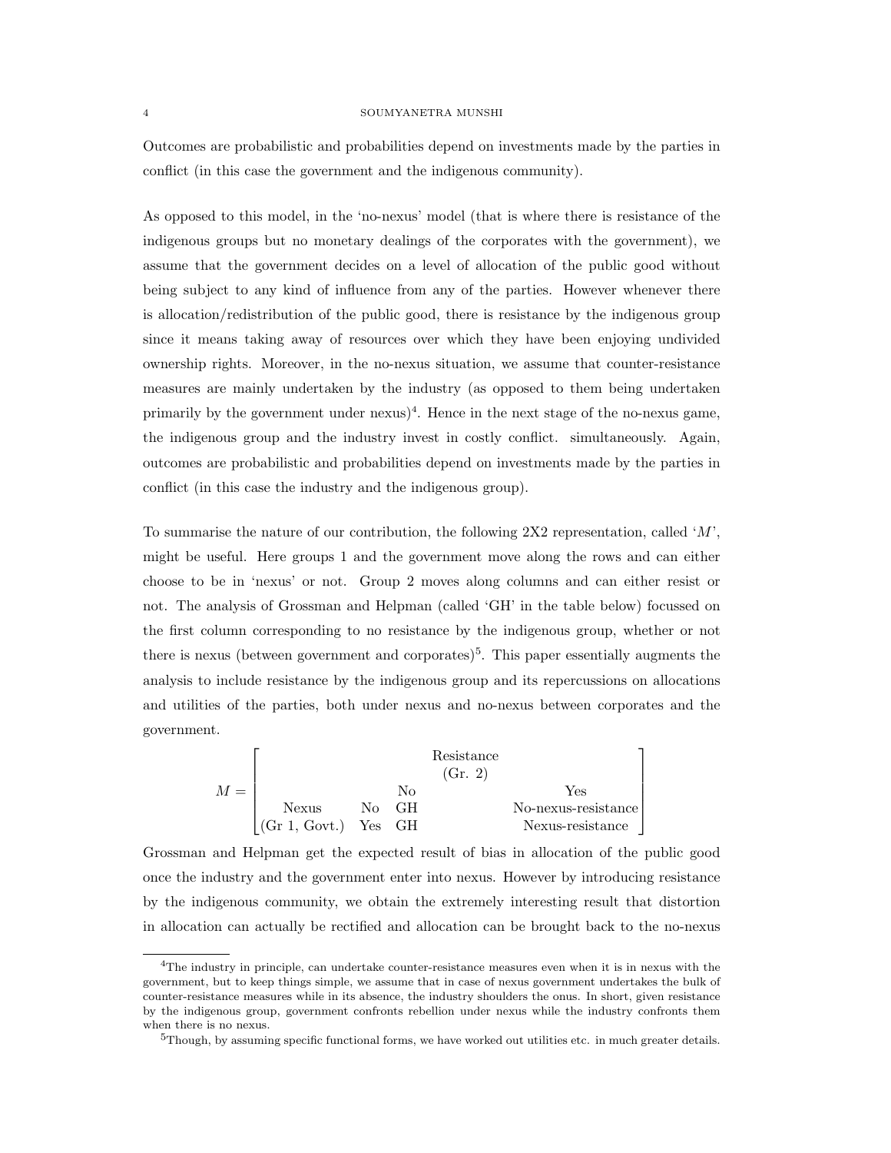Outcomes are probabilistic and probabilities depend on investments made by the parties in conflict (in this case the government and the indigenous community).

As opposed to this model, in the 'no-nexus' model (that is where there is resistance of the indigenous groups but no monetary dealings of the corporates with the government), we assume that the government decides on a level of allocation of the public good without being subject to any kind of influence from any of the parties. However whenever there is allocation/redistribution of the public good, there is resistance by the indigenous group since it means taking away of resources over which they have been enjoying undivided ownership rights. Moreover, in the no-nexus situation, we assume that counter-resistance measures are mainly undertaken by the industry (as opposed to them being undertaken primarily by the government under  $n$ exus)<sup>4</sup>. Hence in the next stage of the no-nexus game, the indigenous group and the industry invest in costly conflict. simultaneously. Again, outcomes are probabilistic and probabilities depend on investments made by the parties in conflict (in this case the industry and the indigenous group).

To summarise the nature of our contribution, the following 2X2 representation, called 'M', might be useful. Here groups 1 and the government move along the rows and can either choose to be in 'nexus' or not. Group 2 moves along columns and can either resist or not. The analysis of Grossman and Helpman (called 'GH' in the table below) focussed on the first column corresponding to no resistance by the indigenous group, whether or not there is nexus (between government and corporates)<sup>5</sup>. This paper essentially augments the analysis to include resistance by the indigenous group and its repercussions on allocations and utilities of the parties, both under nexus and no-nexus between corporates and the government.

|       |                          |       |    | Resistance<br>(Gr. 2) |                     |
|-------|--------------------------|-------|----|-----------------------|---------------------|
| $M =$ |                          |       | Nο |                       | Yes                 |
|       | Nexus                    | No GH |    |                       | No-nexus-resistance |
|       | $ $ (Gr 1, Govt.) Yes GH |       |    |                       | Nexus-resistance    |

Grossman and Helpman get the expected result of bias in allocation of the public good once the industry and the government enter into nexus. However by introducing resistance by the indigenous community, we obtain the extremely interesting result that distortion in allocation can actually be rectified and allocation can be brought back to the no-nexus

<sup>4</sup>The industry in principle, can undertake counter-resistance measures even when it is in nexus with the government, but to keep things simple, we assume that in case of nexus government undertakes the bulk of counter-resistance measures while in its absence, the industry shoulders the onus. In short, given resistance by the indigenous group, government confronts rebellion under nexus while the industry confronts them when there is no nexus.

 $5T$ hough, by assuming specific functional forms, we have worked out utilities etc. in much greater details.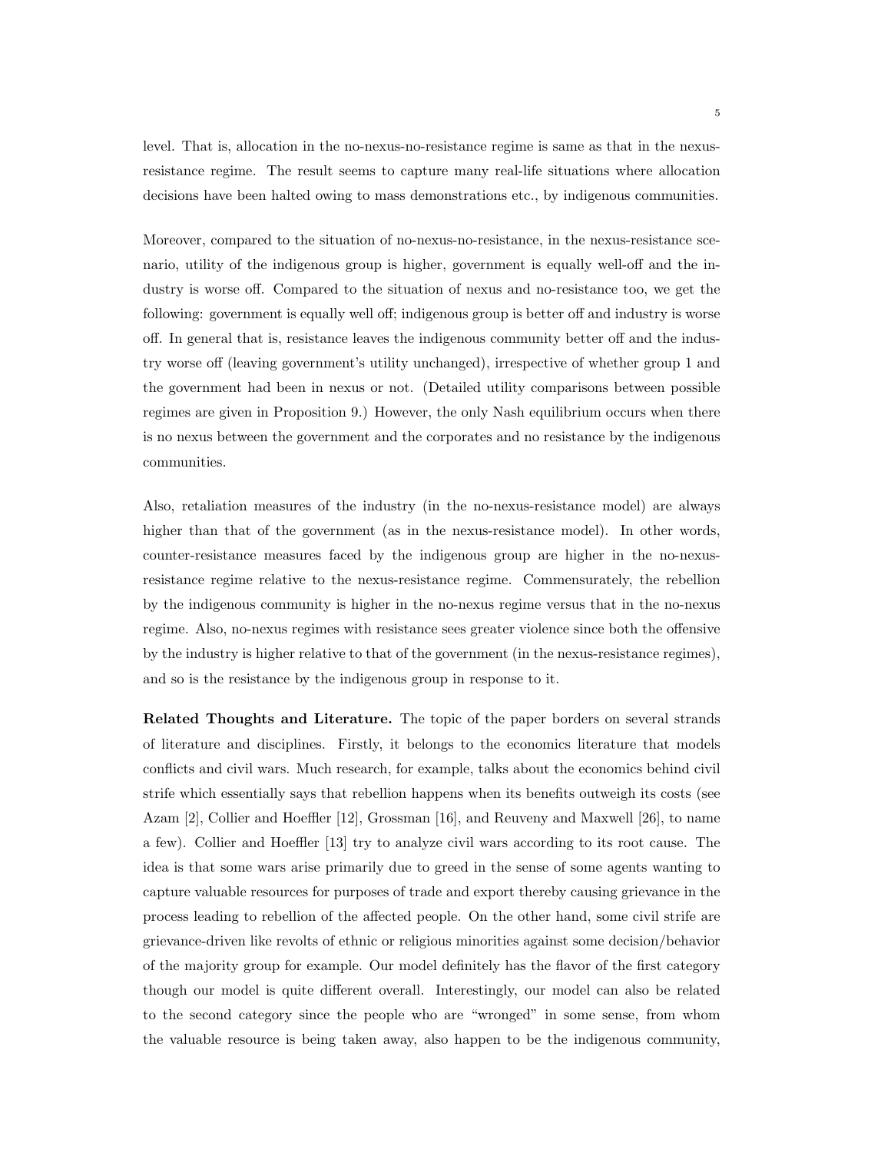level. That is, allocation in the no-nexus-no-resistance regime is same as that in the nexusresistance regime. The result seems to capture many real-life situations where allocation decisions have been halted owing to mass demonstrations etc., by indigenous communities.

Moreover, compared to the situation of no-nexus-no-resistance, in the nexus-resistance scenario, utility of the indigenous group is higher, government is equally well-off and the industry is worse off. Compared to the situation of nexus and no-resistance too, we get the following: government is equally well off; indigenous group is better off and industry is worse off. In general that is, resistance leaves the indigenous community better off and the industry worse off (leaving government's utility unchanged), irrespective of whether group 1 and the government had been in nexus or not. (Detailed utility comparisons between possible regimes are given in Proposition 9.) However, the only Nash equilibrium occurs when there is no nexus between the government and the corporates and no resistance by the indigenous communities.

Also, retaliation measures of the industry (in the no-nexus-resistance model) are always higher than that of the government (as in the nexus-resistance model). In other words, counter-resistance measures faced by the indigenous group are higher in the no-nexusresistance regime relative to the nexus-resistance regime. Commensurately, the rebellion by the indigenous community is higher in the no-nexus regime versus that in the no-nexus regime. Also, no-nexus regimes with resistance sees greater violence since both the offensive by the industry is higher relative to that of the government (in the nexus-resistance regimes), and so is the resistance by the indigenous group in response to it.

Related Thoughts and Literature. The topic of the paper borders on several strands of literature and disciplines. Firstly, it belongs to the economics literature that models conflicts and civil wars. Much research, for example, talks about the economics behind civil strife which essentially says that rebellion happens when its benefits outweigh its costs (see Azam [2], Collier and Hoeffler [12], Grossman [16], and Reuveny and Maxwell [26], to name a few). Collier and Hoeffler [13] try to analyze civil wars according to its root cause. The idea is that some wars arise primarily due to greed in the sense of some agents wanting to capture valuable resources for purposes of trade and export thereby causing grievance in the process leading to rebellion of the affected people. On the other hand, some civil strife are grievance-driven like revolts of ethnic or religious minorities against some decision/behavior of the majority group for example. Our model definitely has the flavor of the first category though our model is quite different overall. Interestingly, our model can also be related to the second category since the people who are "wronged" in some sense, from whom the valuable resource is being taken away, also happen to be the indigenous community,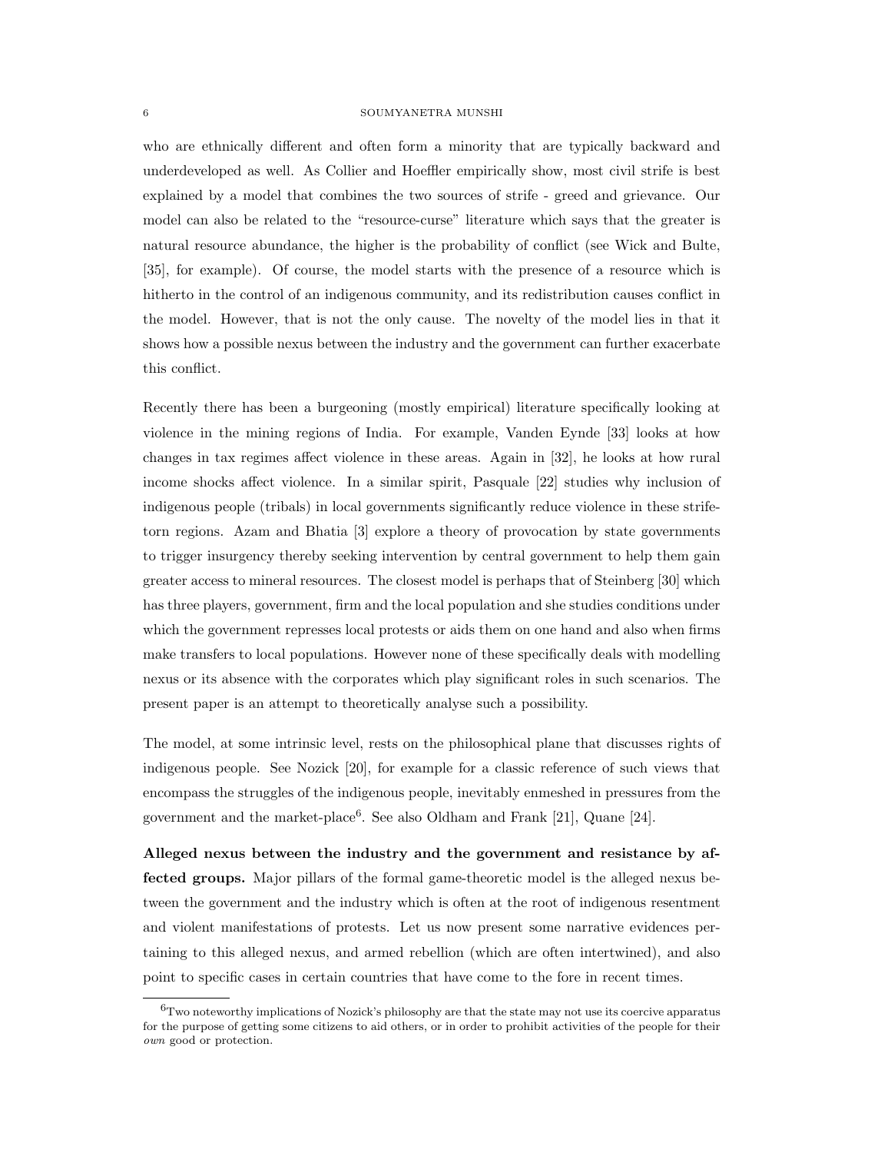who are ethnically different and often form a minority that are typically backward and underdeveloped as well. As Collier and Hoeffler empirically show, most civil strife is best explained by a model that combines the two sources of strife - greed and grievance. Our model can also be related to the "resource-curse" literature which says that the greater is natural resource abundance, the higher is the probability of conflict (see Wick and Bulte, [35], for example). Of course, the model starts with the presence of a resource which is hitherto in the control of an indigenous community, and its redistribution causes conflict in the model. However, that is not the only cause. The novelty of the model lies in that it shows how a possible nexus between the industry and the government can further exacerbate this conflict.

Recently there has been a burgeoning (mostly empirical) literature specifically looking at violence in the mining regions of India. For example, Vanden Eynde [33] looks at how changes in tax regimes affect violence in these areas. Again in [32], he looks at how rural income shocks affect violence. In a similar spirit, Pasquale [22] studies why inclusion of indigenous people (tribals) in local governments significantly reduce violence in these strifetorn regions. Azam and Bhatia [3] explore a theory of provocation by state governments to trigger insurgency thereby seeking intervention by central government to help them gain greater access to mineral resources. The closest model is perhaps that of Steinberg [30] which has three players, government, firm and the local population and she studies conditions under which the government represses local protests or aids them on one hand and also when firms make transfers to local populations. However none of these specifically deals with modelling nexus or its absence with the corporates which play significant roles in such scenarios. The present paper is an attempt to theoretically analyse such a possibility.

The model, at some intrinsic level, rests on the philosophical plane that discusses rights of indigenous people. See Nozick [20], for example for a classic reference of such views that encompass the struggles of the indigenous people, inevitably enmeshed in pressures from the government and the market-place<sup>6</sup>. See also Oldham and Frank [21], Quane [24].

Alleged nexus between the industry and the government and resistance by affected groups. Major pillars of the formal game-theoretic model is the alleged nexus between the government and the industry which is often at the root of indigenous resentment and violent manifestations of protests. Let us now present some narrative evidences pertaining to this alleged nexus, and armed rebellion (which are often intertwined), and also point to specific cases in certain countries that have come to the fore in recent times.

 $6$ Two noteworthy implications of Nozick's philosophy are that the state may not use its coercive apparatus for the purpose of getting some citizens to aid others, or in order to prohibit activities of the people for their own good or protection.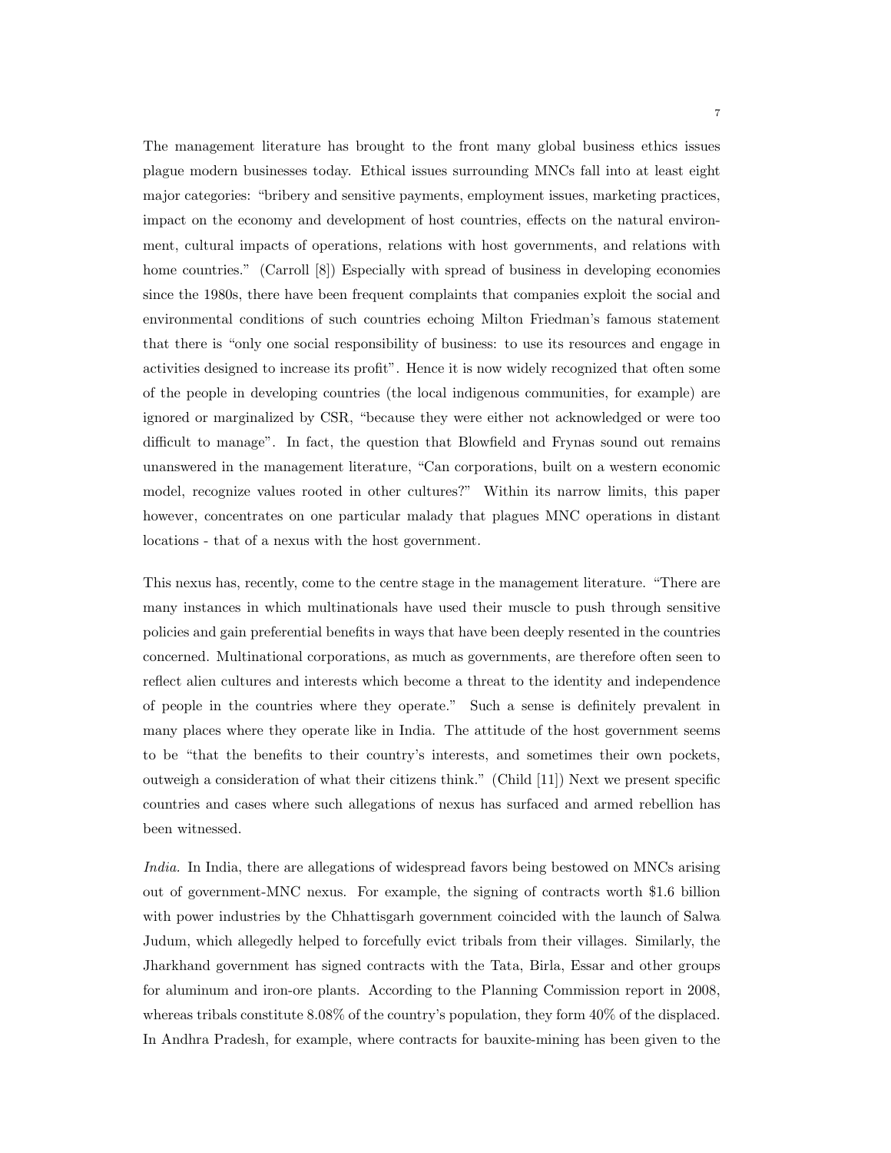The management literature has brought to the front many global business ethics issues plague modern businesses today. Ethical issues surrounding MNCs fall into at least eight major categories: "bribery and sensitive payments, employment issues, marketing practices, impact on the economy and development of host countries, effects on the natural environment, cultural impacts of operations, relations with host governments, and relations with home countries." (Carroll [8]) Especially with spread of business in developing economies since the 1980s, there have been frequent complaints that companies exploit the social and environmental conditions of such countries echoing Milton Friedman's famous statement that there is "only one social responsibility of business: to use its resources and engage in activities designed to increase its profit". Hence it is now widely recognized that often some of the people in developing countries (the local indigenous communities, for example) are ignored or marginalized by CSR, "because they were either not acknowledged or were too difficult to manage". In fact, the question that Blowfield and Frynas sound out remains unanswered in the management literature, "Can corporations, built on a western economic model, recognize values rooted in other cultures?" Within its narrow limits, this paper however, concentrates on one particular malady that plagues MNC operations in distant locations - that of a nexus with the host government.

This nexus has, recently, come to the centre stage in the management literature. "There are many instances in which multinationals have used their muscle to push through sensitive policies and gain preferential benefits in ways that have been deeply resented in the countries concerned. Multinational corporations, as much as governments, are therefore often seen to reflect alien cultures and interests which become a threat to the identity and independence of people in the countries where they operate." Such a sense is definitely prevalent in many places where they operate like in India. The attitude of the host government seems to be "that the benefits to their country's interests, and sometimes their own pockets, outweigh a consideration of what their citizens think." (Child [11]) Next we present specific countries and cases where such allegations of nexus has surfaced and armed rebellion has been witnessed.

India. In India, there are allegations of widespread favors being bestowed on MNCs arising out of government-MNC nexus. For example, the signing of contracts worth \$1.6 billion with power industries by the Chhattisgarh government coincided with the launch of Salwa Judum, which allegedly helped to forcefully evict tribals from their villages. Similarly, the Jharkhand government has signed contracts with the Tata, Birla, Essar and other groups for aluminum and iron-ore plants. According to the Planning Commission report in 2008, whereas tribals constitute 8.08% of the country's population, they form 40% of the displaced. In Andhra Pradesh, for example, where contracts for bauxite-mining has been given to the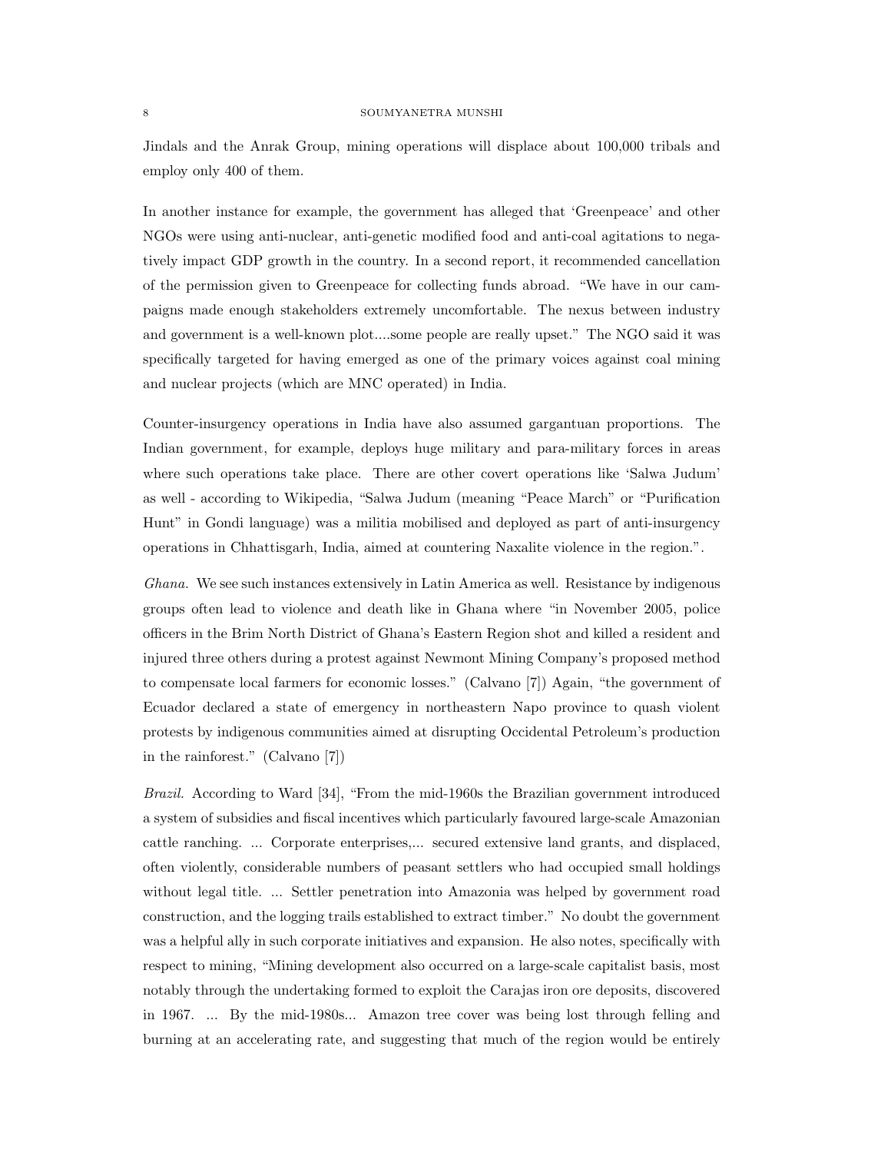Jindals and the Anrak Group, mining operations will displace about 100,000 tribals and employ only 400 of them.

In another instance for example, the government has alleged that 'Greenpeace' and other NGOs were using anti-nuclear, anti-genetic modified food and anti-coal agitations to negatively impact GDP growth in the country. In a second report, it recommended cancellation of the permission given to Greenpeace for collecting funds abroad. "We have in our campaigns made enough stakeholders extremely uncomfortable. The nexus between industry and government is a well-known plot....some people are really upset." The NGO said it was specifically targeted for having emerged as one of the primary voices against coal mining and nuclear projects (which are MNC operated) in India.

Counter-insurgency operations in India have also assumed gargantuan proportions. The Indian government, for example, deploys huge military and para-military forces in areas where such operations take place. There are other covert operations like 'Salwa Judum' as well - according to Wikipedia, "Salwa Judum (meaning "Peace March" or "Purification Hunt" in Gondi language) was a militia mobilised and deployed as part of anti-insurgency operations in Chhattisgarh, India, aimed at countering Naxalite violence in the region.".

Ghana. We see such instances extensively in Latin America as well. Resistance by indigenous groups often lead to violence and death like in Ghana where "in November 2005, police officers in the Brim North District of Ghana's Eastern Region shot and killed a resident and injured three others during a protest against Newmont Mining Company's proposed method to compensate local farmers for economic losses." (Calvano [7]) Again, "the government of Ecuador declared a state of emergency in northeastern Napo province to quash violent protests by indigenous communities aimed at disrupting Occidental Petroleum's production in the rainforest." (Calvano [7])

Brazil. According to Ward [34], "From the mid-1960s the Brazilian government introduced a system of subsidies and fiscal incentives which particularly favoured large-scale Amazonian cattle ranching. ... Corporate enterprises,... secured extensive land grants, and displaced, often violently, considerable numbers of peasant settlers who had occupied small holdings without legal title. ... Settler penetration into Amazonia was helped by government road construction, and the logging trails established to extract timber." No doubt the government was a helpful ally in such corporate initiatives and expansion. He also notes, specifically with respect to mining, "Mining development also occurred on a large-scale capitalist basis, most notably through the undertaking formed to exploit the Carajas iron ore deposits, discovered in 1967. ... By the mid-1980s... Amazon tree cover was being lost through felling and burning at an accelerating rate, and suggesting that much of the region would be entirely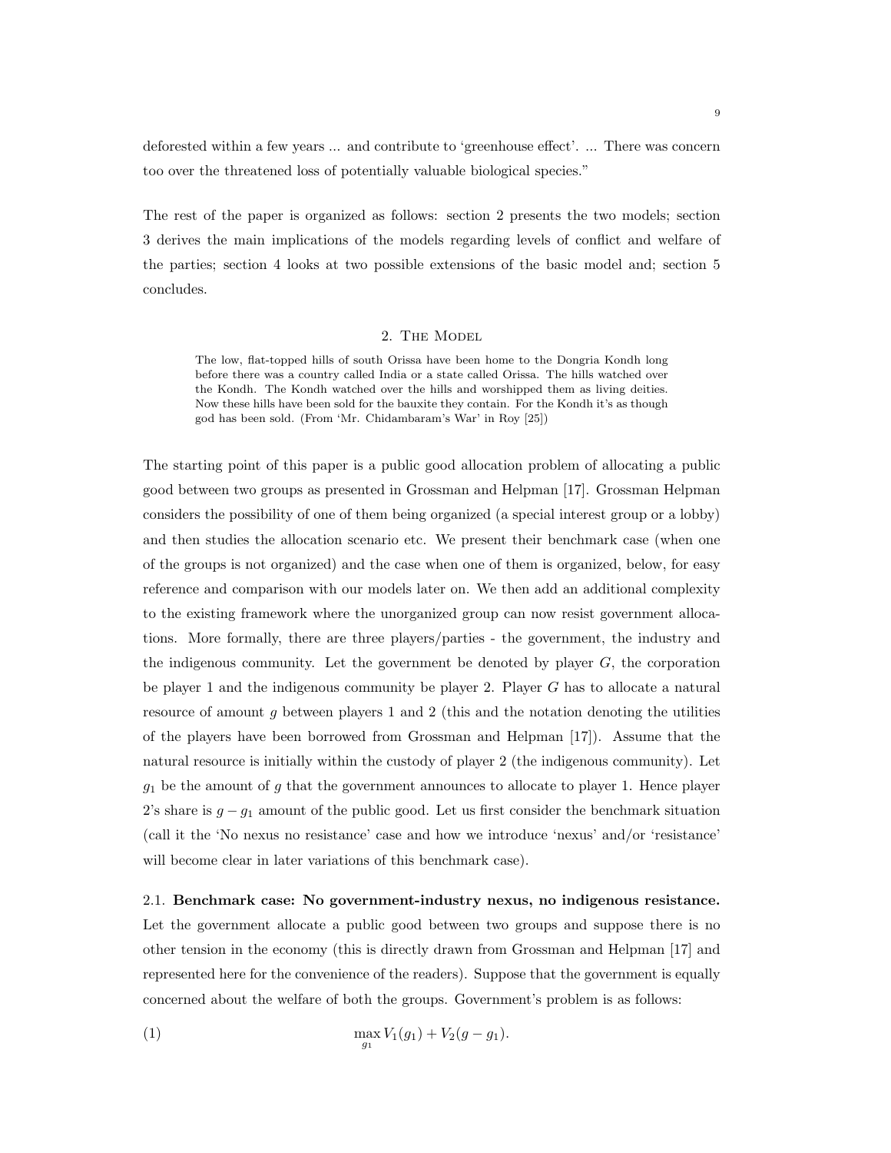deforested within a few years ... and contribute to 'greenhouse effect'. ... There was concern too over the threatened loss of potentially valuable biological species."

The rest of the paper is organized as follows: section 2 presents the two models; section 3 derives the main implications of the models regarding levels of conflict and welfare of the parties; section 4 looks at two possible extensions of the basic model and; section 5 concludes.

# 2. The Model

The low, flat-topped hills of south Orissa have been home to the Dongria Kondh long before there was a country called India or a state called Orissa. The hills watched over the Kondh. The Kondh watched over the hills and worshipped them as living deities. Now these hills have been sold for the bauxite they contain. For the Kondh it's as though god has been sold. (From 'Mr. Chidambaram's War' in Roy [25])

The starting point of this paper is a public good allocation problem of allocating a public good between two groups as presented in Grossman and Helpman [17]. Grossman Helpman considers the possibility of one of them being organized (a special interest group or a lobby) and then studies the allocation scenario etc. We present their benchmark case (when one of the groups is not organized) and the case when one of them is organized, below, for easy reference and comparison with our models later on. We then add an additional complexity to the existing framework where the unorganized group can now resist government allocations. More formally, there are three players/parties - the government, the industry and the indigenous community. Let the government be denoted by player  $G$ , the corporation be player 1 and the indigenous community be player 2. Player G has to allocate a natural resource of amount  $g$  between players 1 and 2 (this and the notation denoting the utilities of the players have been borrowed from Grossman and Helpman [17]). Assume that the natural resource is initially within the custody of player 2 (the indigenous community). Let  $g_1$  be the amount of g that the government announces to allocate to player 1. Hence player 2's share is  $g - g_1$  amount of the public good. Let us first consider the benchmark situation (call it the 'No nexus no resistance' case and how we introduce 'nexus' and/or 'resistance' will become clear in later variations of this benchmark case).

2.1. Benchmark case: No government-industry nexus, no indigenous resistance. Let the government allocate a public good between two groups and suppose there is no other tension in the economy (this is directly drawn from Grossman and Helpman [17] and represented here for the convenience of the readers). Suppose that the government is equally concerned about the welfare of both the groups. Government's problem is as follows:

(1) 
$$
\max_{g_1} V_1(g_1) + V_2(g - g_1).
$$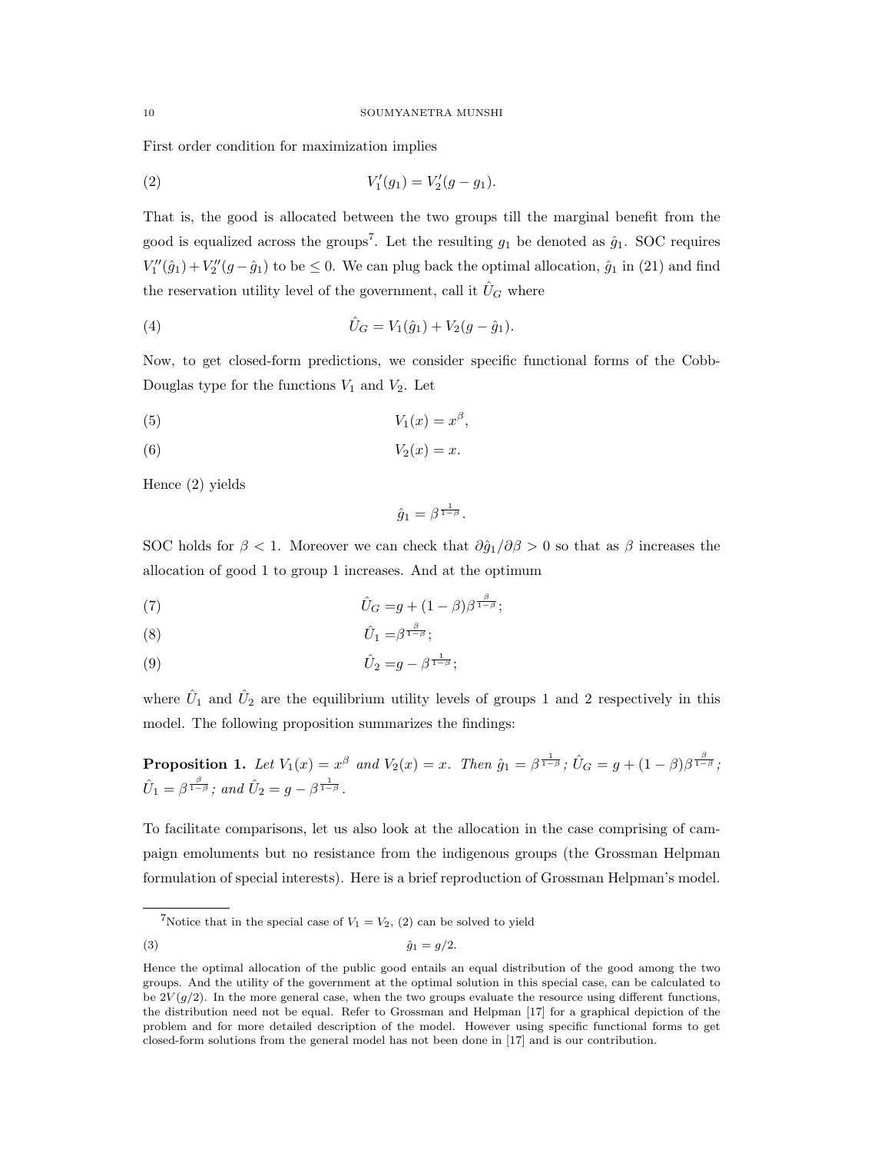First order condition for maximization implies

(2) 
$$
V'_1(g_1) = V'_2(g - g_1).
$$

That is, the good is allocated between the two groups till the marginal benefit from the good is equalized across the groups<sup>7</sup>. Let the resulting  $g_1$  be denoted as  $\hat{g}_1$ . SOC requires  $V''_1(\hat{g}_1) + V''_2(g - \hat{g}_1)$  to be  $\leq 0$ . We can plug back the optimal allocation,  $\hat{g}_1$  in (21) and find the reservation utility level of the government, call it  $\hat{U}_G$  where

(4) 
$$
\hat{U}_G = V_1(\hat{g}_1) + V_2(g - \hat{g}_1).
$$

Now, to get closed-form predictions, we consider specific functional forms of the Cobb-Douglas type for the functions  $V_1$  and  $V_2$ . Let

$$
(5) \t\t V_1(x) = x^{\beta},
$$

$$
(6) \t\t V_2(x) = x.
$$

Hence (2) yields

$$
\hat{g}_1 = \beta^{\frac{1}{1-\beta}}.
$$

SOC holds for  $\beta < 1$ . Moreover we can check that  $\partial \hat{q}_1/\partial \beta > 0$  so that as  $\beta$  increases the allocation of good 1 to group 1 increases. And at the optimum

(7) 
$$
\hat{U}_G = g + (1 - \beta)\beta^{\frac{\beta}{1 - \beta}};
$$

$$
(8) \t\t\t \hat{U}_1 = \beta^{\frac{\beta}{1-\beta}};
$$

(9) 
$$
\hat{U}_2 = g - \beta^{\frac{1}{1-\beta}};
$$

where  $\hat{U}_1$  and  $\hat{U}_2$  are the equilibrium utility levels of groups 1 and 2 respectively in this model. The following proposition summarizes the findings:

**Proposition 1.** Let 
$$
V_1(x) = x^{\beta}
$$
 and  $V_2(x) = x$ . Then  $\hat{g}_1 = \beta^{\frac{1}{1-\beta}}$ ;  $\hat{U}_G = g + (1-\beta)\beta^{\frac{\beta}{1-\beta}}$ ;  $\hat{U}_1 = \beta^{\frac{\beta}{1-\beta}}$ ; and  $\hat{U}_2 = g - \beta^{\frac{1}{1-\beta}}$ .

To facilitate comparisons, let us also look at the allocation in the case comprising of campaign emoluments but no resistance from the indigenous groups (the Grossman Helpman formulation of special interests). Here is a brief reproduction of Grossman Helpman's model.

<sup>&</sup>lt;sup>7</sup>Notice that in the special case of  $V_1 = V_2$ , (2) can be solved to yield

<sup>(3)</sup>  $\hat{g}_1 = g/2$ .

Hence the optimal allocation of the public good entails an equal distribution of the good among the two groups. And the utility of the government at the optimal solution in this special case, can be calculated to be  $2V(g/2)$ . In the more general case, when the two groups evaluate the resource using different functions, the distribution need not be equal. Refer to Grossman and Helpman [17] for a graphical depiction of the problem and for more detailed description of the model. However using specific functional forms to get closed-form solutions from the general model has not been done in [17] and is our contribution.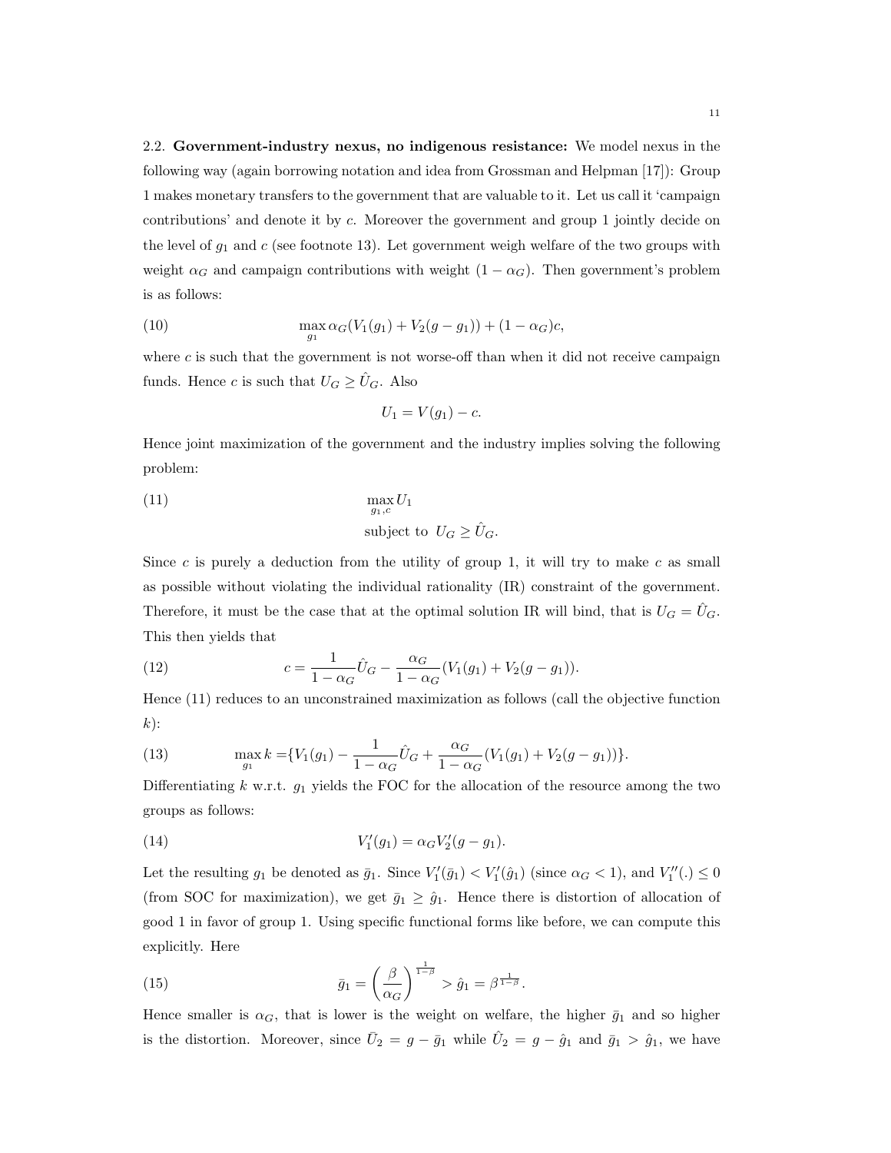2.2. Government-industry nexus, no indigenous resistance: We model nexus in the following way (again borrowing notation and idea from Grossman and Helpman [17]): Group 1 makes monetary transfers to the government that are valuable to it. Let us call it 'campaign contributions' and denote it by c. Moreover the government and group 1 jointly decide on the level of  $g_1$  and c (see footnote 13). Let government weigh welfare of the two groups with weight  $\alpha_G$  and campaign contributions with weight  $(1 - \alpha_G)$ . Then government's problem is as follows:

(10) 
$$
\max_{g_1} \alpha_G(V_1(g_1) + V_2(g - g_1)) + (1 - \alpha_G)c,
$$

where  $c$  is such that the government is not worse-off than when it did not receive campaign funds. Hence c is such that  $U_G \geq \hat{U}_G$ . Also

$$
U_1 = V(g_1) - c.
$$

Hence joint maximization of the government and the industry implies solving the following problem:

(11) 
$$
\max_{g_1,c} U_1
$$
   
subject to  $U_G \geq \hat{U}_G$ .

Since c is purely a deduction from the utility of group 1, it will try to make c as small as possible without violating the individual rationality (IR) constraint of the government. Therefore, it must be the case that at the optimal solution IR will bind, that is  $U_G = U_G$ . This then yields that

(12) 
$$
c = \frac{1}{1 - \alpha_G} \hat{U}_G - \frac{\alpha_G}{1 - \alpha_G} (V_1(g_1) + V_2(g - g_1)).
$$

Hence (11) reduces to an unconstrained maximization as follows (call the objective function  $k$ :

(13) 
$$
\max_{g_1} k = \{V_1(g_1) - \frac{1}{1 - \alpha_G} \hat{U}_G + \frac{\alpha_G}{1 - \alpha_G} (V_1(g_1) + V_2(g - g_1))\}.
$$

Differentiating  $k \text{ w.r.t. } g_1$  yields the FOC for the allocation of the resource among the two groups as follows:

(14) 
$$
V'_1(g_1) = \alpha_G V'_2(g - g_1).
$$

Let the resulting  $g_1$  be denoted as  $\bar{g}_1$ . Since  $V_1'(\bar{g}_1) < V_1'(\hat{g}_1)$  (since  $\alpha_G < 1$ ), and  $V_1''(.) \leq 0$ (from SOC for maximization), we get  $\bar{g}_1 \geq \hat{g}_1$ . Hence there is distortion of allocation of good 1 in favor of group 1. Using specific functional forms like before, we can compute this explicitly. Here

(15) 
$$
\bar{g}_1 = \left(\frac{\beta}{\alpha_G}\right)^{\frac{1}{1-\beta}} > \hat{g}_1 = \beta^{\frac{1}{1-\beta}}.
$$

Hence smaller is  $\alpha_G$ , that is lower is the weight on welfare, the higher  $\bar{g}_1$  and so higher is the distortion. Moreover, since  $\bar{U}_2 = g - \bar{g}_1$  while  $\hat{U}_2 = g - \hat{g}_1$  and  $\bar{g}_1 > \hat{g}_1$ , we have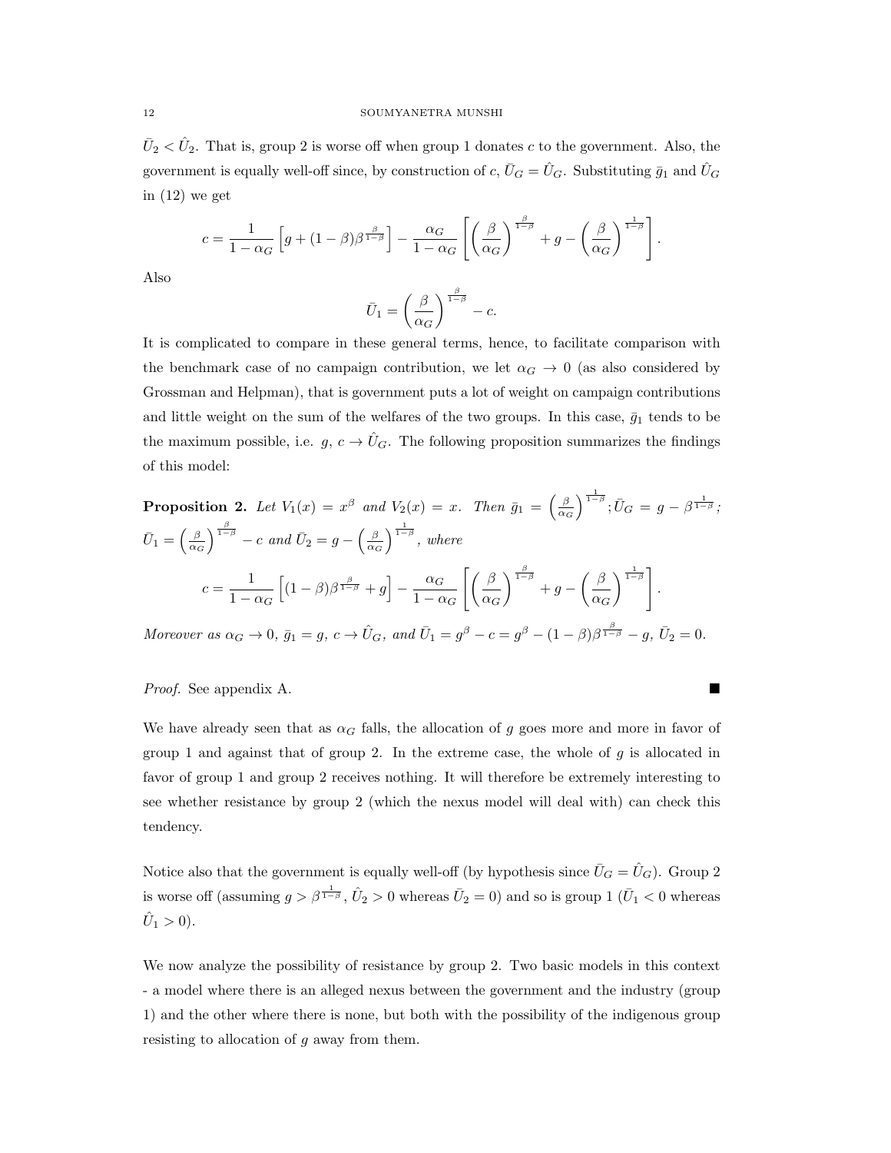$\bar{U}_2 < \hat{U}_2$ . That is, group 2 is worse off when group 1 donates c to the government. Also, the government is equally well-off since, by construction of  $c, \bar{U}_G = \hat{U}_G$ . Substituting  $\bar{g}_1$  and  $\hat{U}_G$ in (12) we get

$$
c = \frac{1}{1 - \alpha_G} \left[ g + (1 - \beta) \beta^{\frac{\beta}{1 - \beta}} \right] - \frac{\alpha_G}{1 - \alpha_G} \left[ \left( \frac{\beta}{\alpha_G} \right)^{\frac{\beta}{1 - \beta}} + g - \left( \frac{\beta}{\alpha_G} \right)^{\frac{1}{1 - \beta}} \right].
$$

Also

$$
\bar U_1 = \left(\frac{\beta}{\alpha_G}\right)^{\frac{\beta}{1-\beta}}-c.
$$

It is complicated to compare in these general terms, hence, to facilitate comparison with the benchmark case of no campaign contribution, we let  $\alpha_G \to 0$  (as also considered by Grossman and Helpman), that is government puts a lot of weight on campaign contributions and little weight on the sum of the welfares of the two groups. In this case,  $\bar{g}_1$  tends to be the maximum possible, i.e.  $g, c \to \hat{U}_G$ . The following proposition summarizes the findings of this model:

**Proposition 2.** Let 
$$
V_1(x) = x^{\beta}
$$
 and  $V_2(x) = x$ . Then  $\bar{g}_1 = \left(\frac{\beta}{\alpha_G}\right)^{\frac{1}{1-\beta}}$ ;  $\bar{U}_G = g - \beta^{\frac{1}{1-\beta}}$ ;  
\n
$$
\bar{U}_1 = \left(\frac{\beta}{\alpha_G}\right)^{\frac{\beta}{1-\beta}} - c \text{ and } \bar{U}_2 = g - \left(\frac{\beta}{\alpha_G}\right)^{\frac{1}{1-\beta}}, \text{ where}
$$
\n
$$
c = \frac{1}{1-\alpha_G} \left[ (1-\beta)\beta^{\frac{\beta}{1-\beta}} + g \right] - \frac{\alpha_G}{1-\alpha_G} \left[ \left(\frac{\beta}{\alpha_G}\right)^{\frac{\beta}{1-\beta}} + g - \left(\frac{\beta}{\alpha_G}\right)^{\frac{1}{1-\beta}} \right].
$$

Moreover as  $\alpha_G \to 0$ ,  $\bar{g}_1 = g$ ,  $c \to \hat{U}_G$ , and  $\bar{U}_1 = g^{\beta} - c = g^{\beta} - (1 - \beta)\beta^{\frac{\beta}{1 - \beta}} - g$ ,  $\bar{U}_2 = 0$ .

# Proof. See appendix A.

We have already seen that as  $\alpha_G$  falls, the allocation of g goes more and more in favor of group 1 and against that of group 2. In the extreme case, the whole of  $g$  is allocated in favor of group 1 and group 2 receives nothing. It will therefore be extremely interesting to see whether resistance by group 2 (which the nexus model will deal with) can check this tendency.

Notice also that the government is equally well-off (by hypothesis since  $\bar{U}_G = \hat{U}_G$ ). Group 2 is worse off (assuming  $g > \beta^{\frac{1}{1-\beta}}$ ,  $\hat{U}_2 > 0$  whereas  $\bar{U}_2 = 0$ ) and so is group 1 ( $\bar{U}_1 < 0$  whereas  $\hat{U}_1 > 0$ ).

We now analyze the possibility of resistance by group 2. Two basic models in this context - a model where there is an alleged nexus between the government and the industry (group 1) and the other where there is none, but both with the possibility of the indigenous group resisting to allocation of  $g$  away from them.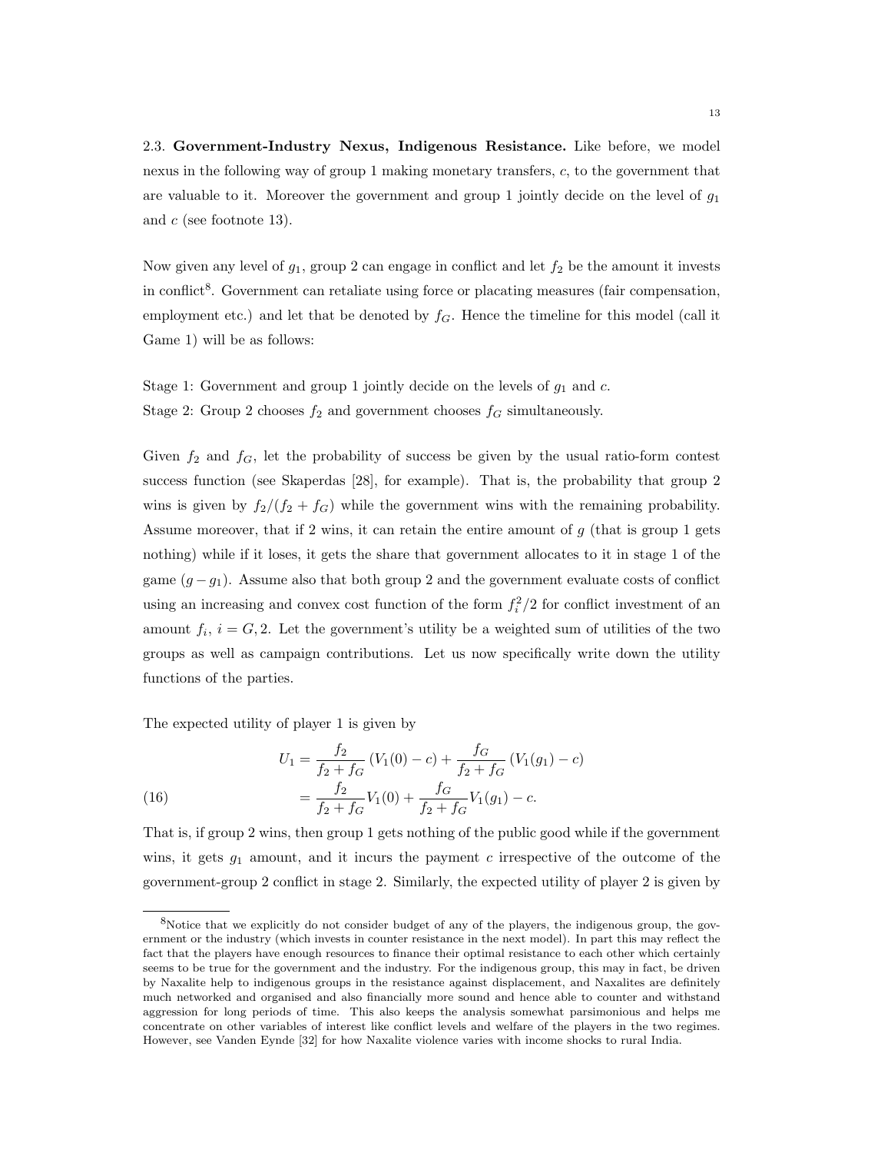2.3. Government-Industry Nexus, Indigenous Resistance. Like before, we model nexus in the following way of group 1 making monetary transfers, c, to the government that are valuable to it. Moreover the government and group 1 jointly decide on the level of  $g_1$ and c (see footnote 13).

Now given any level of  $g_1$ , group 2 can engage in conflict and let  $f_2$  be the amount it invests in conflict<sup>8</sup>. Government can retaliate using force or placating measures (fair compensation, employment etc.) and let that be denoted by  $f_G$ . Hence the timeline for this model (call it Game 1) will be as follows:

Stage 1: Government and group 1 jointly decide on the levels of  $g_1$  and  $c$ . Stage 2: Group 2 chooses  $f_2$  and government chooses  $f_G$  simultaneously.

Given  $f_2$  and  $f_G$ , let the probability of success be given by the usual ratio-form contest success function (see Skaperdas [28], for example). That is, the probability that group 2 wins is given by  $f_2/(f_2 + f_G)$  while the government wins with the remaining probability. Assume moreover, that if 2 wins, it can retain the entire amount of  $g$  (that is group 1 gets nothing) while if it loses, it gets the share that government allocates to it in stage 1 of the game  $(g - g_1)$ . Assume also that both group 2 and the government evaluate costs of conflict using an increasing and convex cost function of the form  $f_i^2/2$  for conflict investment of an amount  $f_i$ ,  $i = G, 2$ . Let the government's utility be a weighted sum of utilities of the two groups as well as campaign contributions. Let us now specifically write down the utility functions of the parties.

The expected utility of player 1 is given by

(16) 
$$
U_1 = \frac{f_2}{f_2 + f_G} (V_1(0) - c) + \frac{f_G}{f_2 + f_G} (V_1(g_1) - c)
$$

$$
= \frac{f_2}{f_2 + f_G} V_1(0) + \frac{f_G}{f_2 + f_G} V_1(g_1) - c.
$$

That is, if group 2 wins, then group 1 gets nothing of the public good while if the government wins, it gets  $g_1$  amount, and it incurs the payment c irrespective of the outcome of the government-group 2 conflict in stage 2. Similarly, the expected utility of player 2 is given by

<sup>8</sup>Notice that we explicitly do not consider budget of any of the players, the indigenous group, the government or the industry (which invests in counter resistance in the next model). In part this may reflect the fact that the players have enough resources to finance their optimal resistance to each other which certainly seems to be true for the government and the industry. For the indigenous group, this may in fact, be driven by Naxalite help to indigenous groups in the resistance against displacement, and Naxalites are definitely much networked and organised and also financially more sound and hence able to counter and withstand aggression for long periods of time. This also keeps the analysis somewhat parsimonious and helps me concentrate on other variables of interest like conflict levels and welfare of the players in the two regimes. However, see Vanden Eynde [32] for how Naxalite violence varies with income shocks to rural India.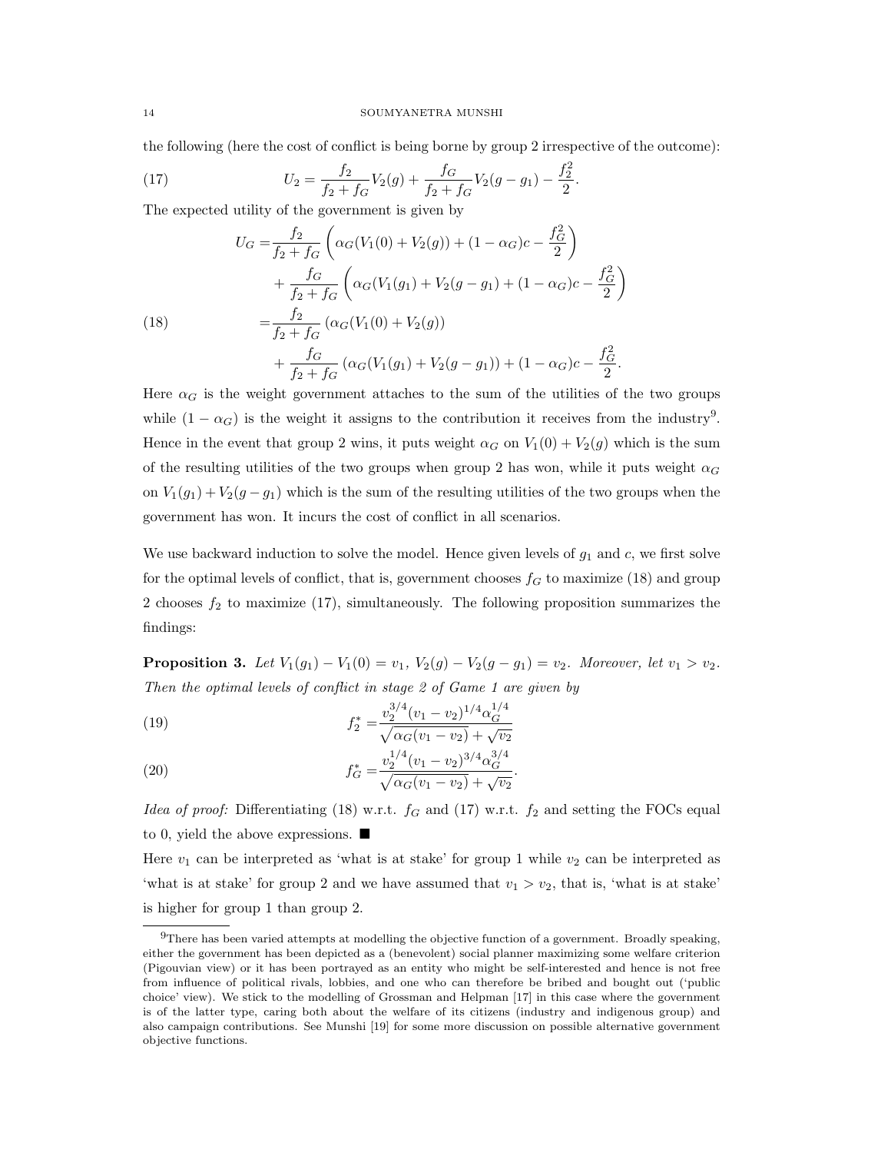the following (here the cost of conflict is being borne by group 2 irrespective of the outcome):

(17) 
$$
U_2 = \frac{f_2}{f_2 + f_G} V_2(g) + \frac{f_G}{f_2 + f_G} V_2(g - g_1) - \frac{f_2^2}{2}.
$$

The expected utility of the government is given by

(18)  
\n
$$
U_G = \frac{f_2}{f_2 + f_G} \left( \alpha_G(V_1(0) + V_2(g)) + (1 - \alpha_G)c - \frac{f_G^2}{2} \right)
$$
\n
$$
+ \frac{f_G}{f_2 + f_G} \left( \alpha_G(V_1(g_1) + V_2(g - g_1) + (1 - \alpha_G)c - \frac{f_G^2}{2} \right)
$$
\n
$$
= \frac{f_2}{f_2 + f_G} \left( \alpha_G(V_1(0) + V_2(g)) + \frac{f_G}{f_2 + f_G} \left( \alpha_G(V_1(g_1) + V_2(g - g_1)) + (1 - \alpha_G)c - \frac{f_G^2}{2} \right) \right)
$$

Here  $\alpha_G$  is the weight government attaches to the sum of the utilities of the two groups while  $(1 - \alpha_G)$  is the weight it assigns to the contribution it receives from the industry<sup>9</sup>. Hence in the event that group 2 wins, it puts weight  $\alpha_G$  on  $V_1(0) + V_2(q)$  which is the sum of the resulting utilities of the two groups when group 2 has won, while it puts weight  $\alpha_G$ on  $V_1(g_1) + V_2(g - g_1)$  which is the sum of the resulting utilities of the two groups when the government has won. It incurs the cost of conflict in all scenarios.

We use backward induction to solve the model. Hence given levels of  $g_1$  and  $c$ , we first solve for the optimal levels of conflict, that is, government chooses  $f_G$  to maximize (18) and group 2 chooses  $f_2$  to maximize (17), simultaneously. The following proposition summarizes the findings:

**Proposition 3.** Let  $V_1(g_1) - V_1(0) = v_1$ ,  $V_2(g) - V_2(g - g_1) = v_2$ . Moreover, let  $v_1 > v_2$ . Then the optimal levels of conflict in stage 2 of Game 1 are given by

(19) 
$$
f_2^* = \frac{v_2^{3/4}(v_1 - v_2)^{1/4} \alpha_G^{1/4}}{\sqrt{\alpha_G(v_1 - v_2)} + \sqrt{v_2}}
$$

(20) 
$$
f_G^* = \frac{v_2^{1/4} (v_1 - v_2)^{3/4} \alpha_G^{3/4}}{\sqrt{\alpha_G (v_1 - v_2)} + \sqrt{v_2}}.
$$

Idea of proof: Differentiating (18) w.r.t.  $f_G$  and (17) w.r.t.  $f_2$  and setting the FOCs equal to 0, yield the above expressions.  $\blacksquare$ 

Here  $v_1$  can be interpreted as 'what is at stake' for group 1 while  $v_2$  can be interpreted as 'what is at stake' for group 2 and we have assumed that  $v_1 > v_2$ , that is, 'what is at stake' is higher for group 1 than group 2.

 $9$ There has been varied attempts at modelling the objective function of a government. Broadly speaking, either the government has been depicted as a (benevolent) social planner maximizing some welfare criterion (Pigouvian view) or it has been portrayed as an entity who might be self-interested and hence is not free from influence of political rivals, lobbies, and one who can therefore be bribed and bought out ('public choice' view). We stick to the modelling of Grossman and Helpman [17] in this case where the government is of the latter type, caring both about the welfare of its citizens (industry and indigenous group) and also campaign contributions. See Munshi [19] for some more discussion on possible alternative government objective functions.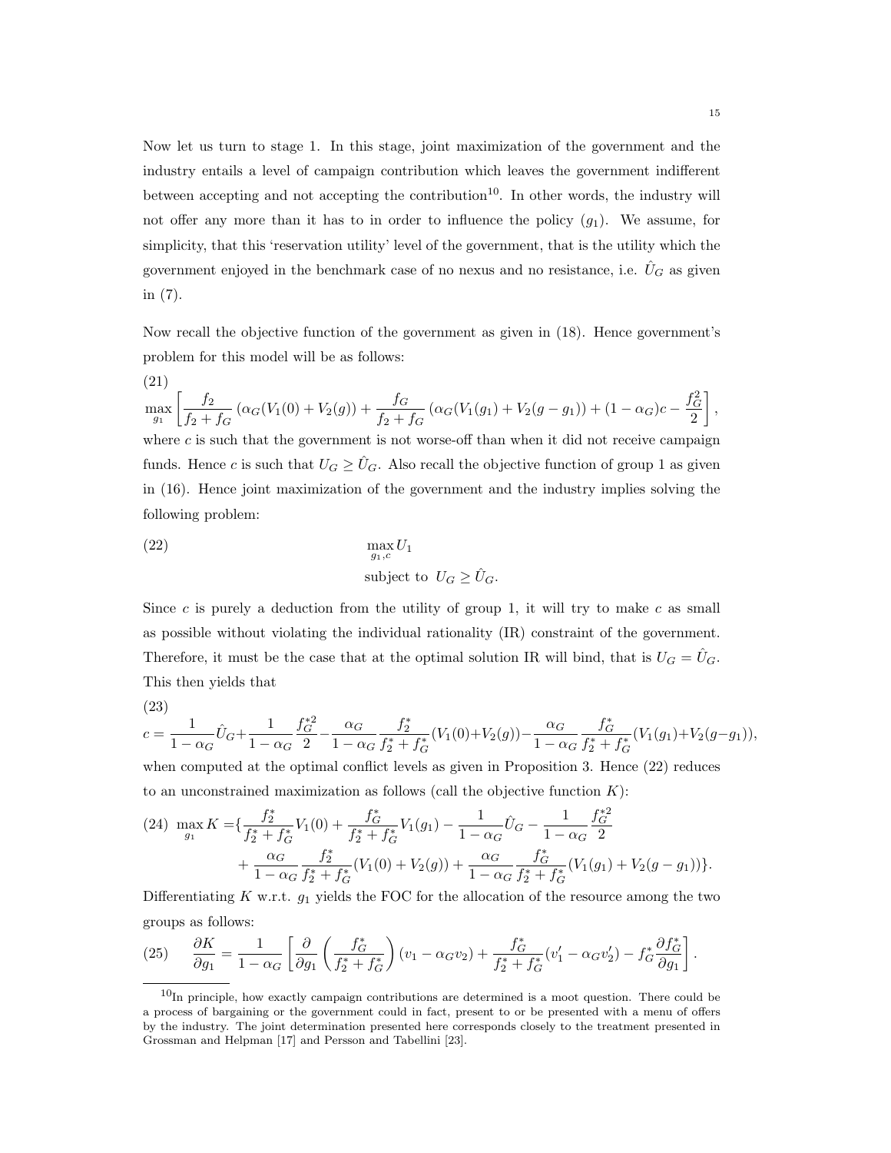Now let us turn to stage 1. In this stage, joint maximization of the government and the industry entails a level of campaign contribution which leaves the government indifferent between accepting and not accepting the contribution<sup>10</sup>. In other words, the industry will not offer any more than it has to in order to influence the policy  $(q_1)$ . We assume, for simplicity, that this 'reservation utility' level of the government, that is the utility which the government enjoyed in the benchmark case of no nexus and no resistance, i.e.  $\hat{U}_G$  as given in (7).

Now recall the objective function of the government as given in (18). Hence government's problem for this model will be as follows:

(21)  
\n
$$
\max_{g_1} \left[ \frac{f_2}{f_2 + f_G} \left( \alpha_G(V_1(0) + V_2(g)) + \frac{f_G}{f_2 + f_G} \left( \alpha_G(V_1(g_1) + V_2(g - g_1) \right) + (1 - \alpha_G)c - \frac{f_G^2}{2} \right],
$$
\nwhere *c* is such that the government is not worse-off than when it did not receive campaign  
\nfunds. Hence *c* is such that  $U_G \geq \hat{U}_G$ . Also recall the objective function of group 1 as given  
\nin (16). Hence joint maximization of the government and the industry implies solving the  
\nfollowing problem:

(22) 
$$
\max_{g_1,c} U_1
$$
   
subject to  $U_G \ge \hat{U}_G$ .

Since  $c$  is purely a deduction from the utility of group 1, it will try to make  $c$  as small as possible without violating the individual rationality (IR) constraint of the government. Therefore, it must be the case that at the optimal solution IR will bind, that is  $U_G = \hat{U}_G$ . This then yields that

$$
(23)
$$

$$
c = \frac{1}{1 - \alpha_G} \hat{U}_G + \frac{1}{1 - \alpha_G} \frac{f_G^{*2}}{2} - \frac{\alpha_G}{1 - \alpha_G} \frac{f_2^*}{f_2^* + f_G^*} (V_1(0) + V_2(g)) - \frac{\alpha_G}{1 - \alpha_G} \frac{f_G^*}{f_2^* + f_G^*} (V_1(g_1) + V_2(g - g_1)),
$$

when computed at the optimal conflict levels as given in Proposition 3. Hence (22) reduces to an unconstrained maximization as follows (call the objective function  $K$ ):

(24) 
$$
\max_{g_1} K = \left\{ \frac{f_2^*}{f_2^* + f_G^*} V_1(0) + \frac{f_G^*}{f_2^* + f_G^*} V_1(g_1) - \frac{1}{1 - \alpha_G} \hat{U}_G - \frac{1}{1 - \alpha_G} \frac{f_G^*}{2} + \frac{\alpha_G}{1 - \alpha_G} \frac{f_2^*}{f_2^* + f_G^*} (V_1(0) + V_2(g)) + \frac{\alpha_G}{1 - \alpha_G} \frac{f_G^*}{f_2^* + f_G^*} (V_1(g_1) + V_2(g - g_1)) \right\}.
$$

Differentiating  $K$  w.r.t.  $g_1$  yields the FOC for the allocation of the resource among the two groups as follows:

(25) 
$$
\frac{\partial K}{\partial g_1} = \frac{1}{1 - \alpha_G} \left[ \frac{\partial}{\partial g_1} \left( \frac{f_G^*}{f_2^* + f_G^*} \right) (v_1 - \alpha_G v_2) + \frac{f_G^*}{f_2^* + f_G^*} (v_1' - \alpha_G v_2') - f_G^* \frac{\partial f_G^*}{\partial g_1} \right].
$$

 $10$ In principle, how exactly campaign contributions are determined is a moot question. There could be a process of bargaining or the government could in fact, present to or be presented with a menu of offers by the industry. The joint determination presented here corresponds closely to the treatment presented in Grossman and Helpman [17] and Persson and Tabellini [23].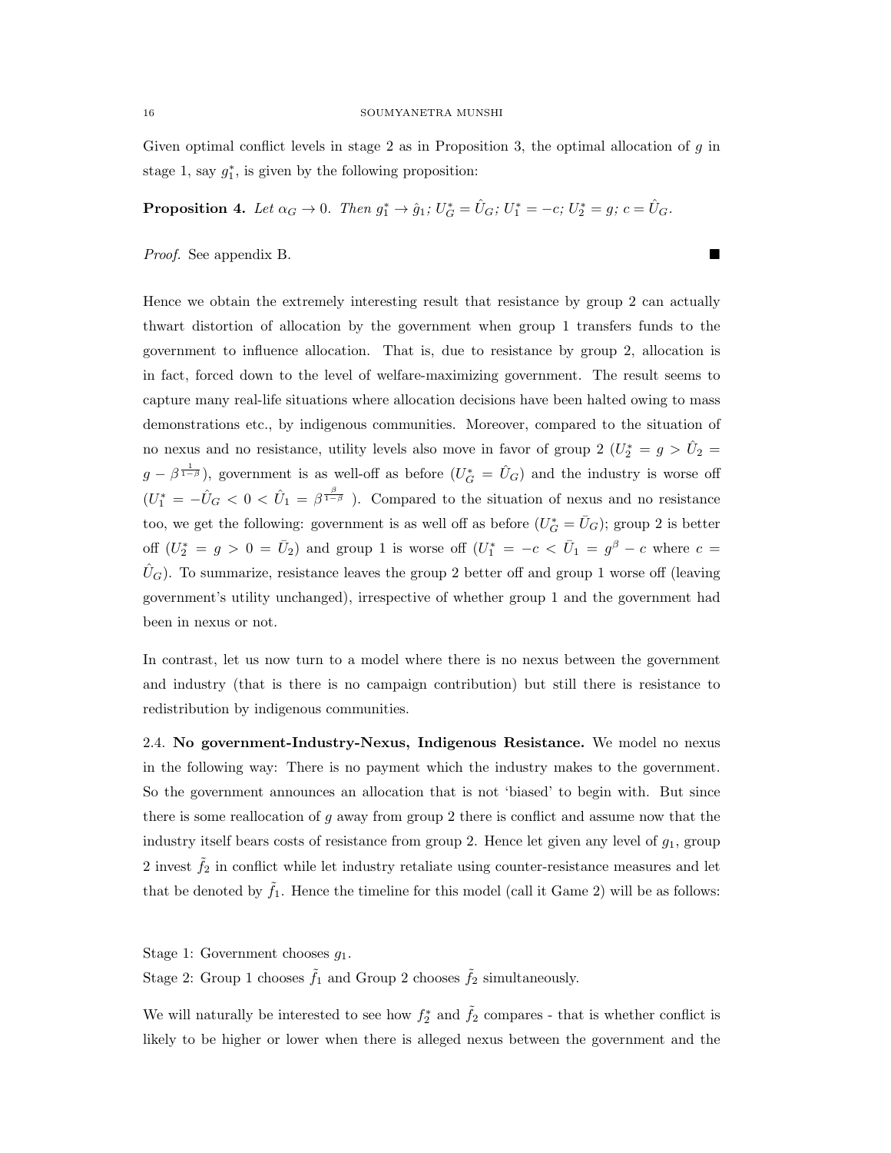Given optimal conflict levels in stage 2 as in Proposition 3, the optimal allocation of  $g$  in stage 1, say  $g_1^*$ , is given by the following proposition:

**Proposition 4.** Let  $\alpha_G \to 0$ . Then  $g_1^* \to \hat{g}_1$ ;  $U_G^* = \hat{U}_G$ ;  $U_1^* = -c$ ;  $U_2^* = g$ ;  $c = \hat{U}_G$ .

Proof. See appendix B.

Hence we obtain the extremely interesting result that resistance by group 2 can actually thwart distortion of allocation by the government when group 1 transfers funds to the government to influence allocation. That is, due to resistance by group 2, allocation is in fact, forced down to the level of welfare-maximizing government. The result seems to capture many real-life situations where allocation decisions have been halted owing to mass demonstrations etc., by indigenous communities. Moreover, compared to the situation of no nexus and no resistance, utility levels also move in favor of group 2 ( $U_2^* = g > \hat{U}_2 =$  $g - \beta^{\frac{1}{1-\beta}}$ ), government is as well-off as before  $(U_G^* = \hat{U}_G)$  and the industry is worse off  $(U_1^* = -\hat{U}_G < 0 < \hat{U}_1 = \beta^{\frac{\beta}{1-\beta}}$ ). Compared to the situation of nexus and no resistance too, we get the following: government is as well off as before  $(U_G^* = \bar{U}_G)$ ; group 2 is better off  $(U_2^* = g > 0 = \bar{U}_2)$  and group 1 is worse off  $(U_1^* = -c < \bar{U}_1 = g^{\beta} - c$  where  $c =$  $\dot{U}_G$ ). To summarize, resistance leaves the group 2 better off and group 1 worse off (leaving government's utility unchanged), irrespective of whether group 1 and the government had been in nexus or not.

In contrast, let us now turn to a model where there is no nexus between the government and industry (that is there is no campaign contribution) but still there is resistance to redistribution by indigenous communities.

2.4. No government-Industry-Nexus, Indigenous Resistance. We model no nexus in the following way: There is no payment which the industry makes to the government. So the government announces an allocation that is not 'biased' to begin with. But since there is some reallocation of g away from group 2 there is conflict and assume now that the industry itself bears costs of resistance from group 2. Hence let given any level of  $g_1$ , group 2 invest  $\tilde{f}_2$  in conflict while let industry retaliate using counter-resistance measures and let that be denoted by  $\tilde{f}_1$ . Hence the timeline for this model (call it Game 2) will be as follows:

Stage 1: Government chooses  $g_1$ .

Stage 2: Group 1 chooses  $\tilde{f}_1$  and Group 2 chooses  $\tilde{f}_2$  simultaneously.

We will naturally be interested to see how  $f_2^*$  and  $\tilde{f}_2$  compares - that is whether conflict is likely to be higher or lower when there is alleged nexus between the government and the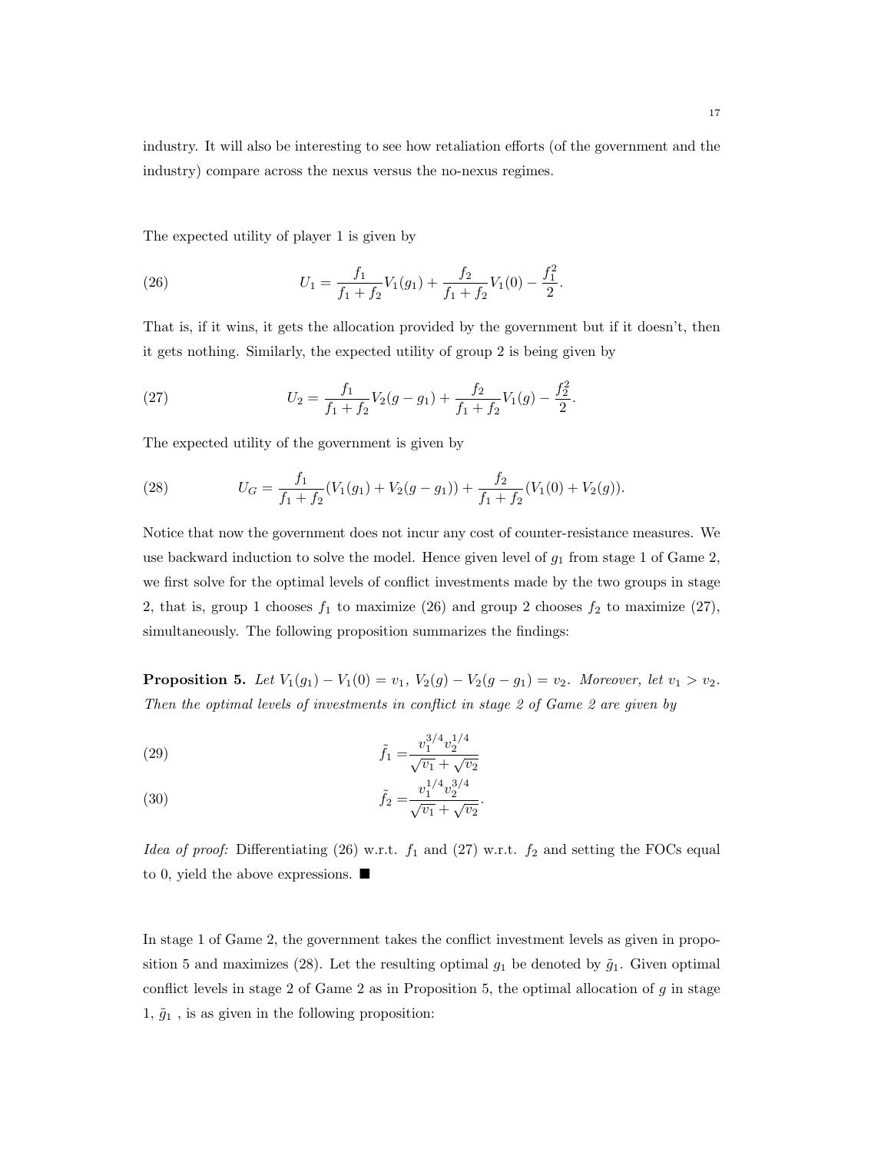industry. It will also be interesting to see how retaliation efforts (of the government and the industry) compare across the nexus versus the no-nexus regimes.

The expected utility of player 1 is given by

(26) 
$$
U_1 = \frac{f_1}{f_1 + f_2} V_1(g_1) + \frac{f_2}{f_1 + f_2} V_1(0) - \frac{f_1^2}{2}.
$$

That is, if it wins, it gets the allocation provided by the government but if it doesn't, then it gets nothing. Similarly, the expected utility of group 2 is being given by

(27) 
$$
U_2 = \frac{f_1}{f_1 + f_2} V_2(g - g_1) + \frac{f_2}{f_1 + f_2} V_1(g) - \frac{f_2^2}{2}.
$$

The expected utility of the government is given by

(28) 
$$
U_G = \frac{f_1}{f_1 + f_2} (V_1(g_1) + V_2(g - g_1)) + \frac{f_2}{f_1 + f_2} (V_1(0) + V_2(g)).
$$

Notice that now the government does not incur any cost of counter-resistance measures. We use backward induction to solve the model. Hence given level of  $g_1$  from stage 1 of Game 2, we first solve for the optimal levels of conflict investments made by the two groups in stage 2, that is, group 1 chooses  $f_1$  to maximize (26) and group 2 chooses  $f_2$  to maximize (27), simultaneously. The following proposition summarizes the findings:

**Proposition 5.** Let  $V_1(g_1) - V_1(0) = v_1$ ,  $V_2(g) - V_2(g - g_1) = v_2$ . Moreover, let  $v_1 > v_2$ . Then the optimal levels of investments in conflict in stage 2 of Game 2 are given by

(29) 
$$
\tilde{f}_1 = \frac{v_1^{3/4} v_2^{1/4}}{\sqrt{v_1} + \sqrt{v_2}}
$$

(30) 
$$
\tilde{f}_2 = \frac{v_1^{1/4} v_2^{3/4}}{\sqrt{v_1} + \sqrt{v_2}}.
$$

Idea of proof: Differentiating (26) w.r.t.  $f_1$  and (27) w.r.t.  $f_2$  and setting the FOCs equal to 0, yield the above expressions.  $\blacksquare$ 

In stage 1 of Game 2, the government takes the conflict investment levels as given in proposition 5 and maximizes (28). Let the resulting optimal  $g_1$  be denoted by  $\tilde{g}_1$ . Given optimal conflict levels in stage 2 of Game 2 as in Proposition 5, the optimal allocation of  $g$  in stage  $1, \tilde{g}_1$ , is as given in the following proposition: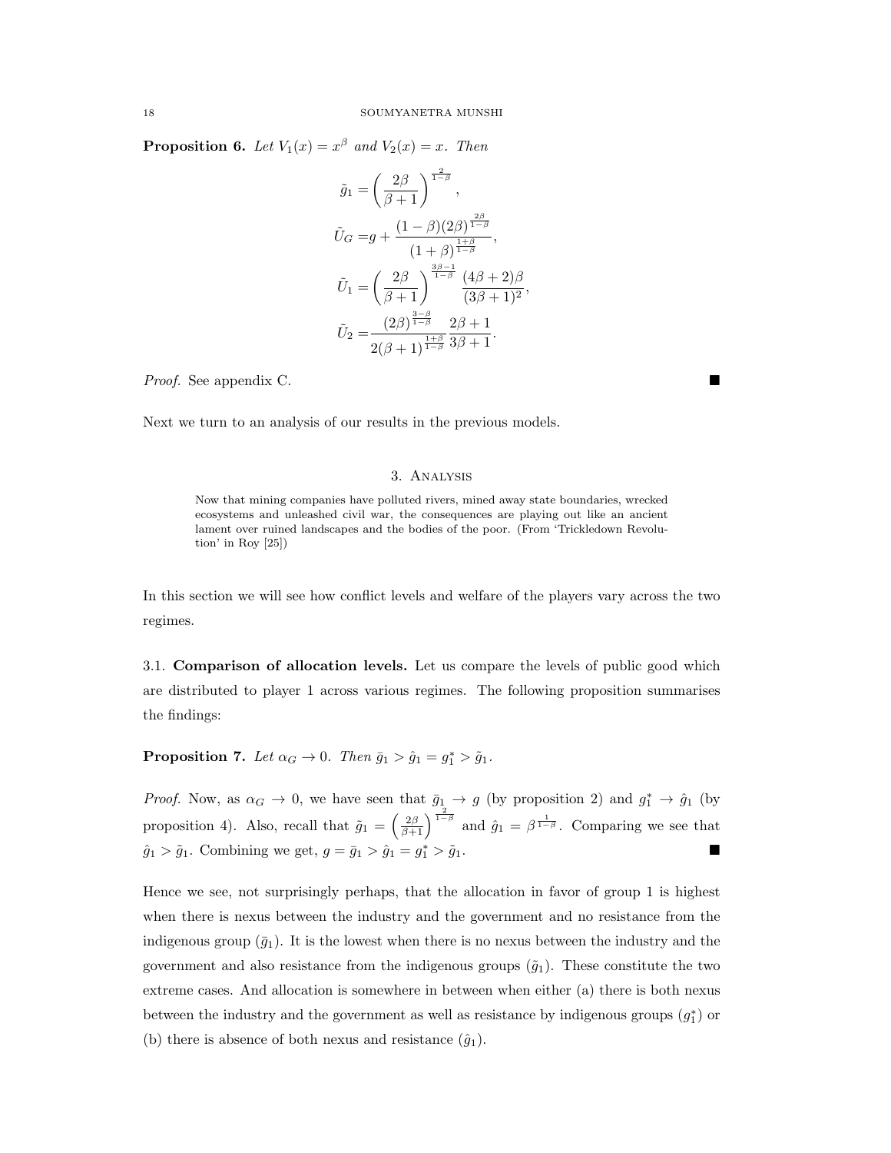**Proposition 6.** Let  $V_1(x) = x^{\beta}$  and  $V_2(x) = x$ . Then

$$
\tilde{g}_1 = \left(\frac{2\beta}{\beta + 1}\right)^{\frac{2\beta}{1 - \beta}},
$$
\n
$$
\tilde{U}_G = g + \frac{(1 - \beta)(2\beta)^{\frac{2\beta}{1 - \beta}}}{(1 + \beta)^{\frac{1 + \beta}{1 - \beta}}},
$$
\n
$$
\tilde{U}_1 = \left(\frac{2\beta}{\beta + 1}\right)^{\frac{3\beta - 1}{1 - \beta}} \frac{(4\beta + 2)\beta}{(3\beta + 1)^2},
$$
\n
$$
\tilde{U}_2 = \frac{(2\beta)^{\frac{3 - \beta}{1 - \beta}}}{2(\beta + 1)^{\frac{1 + \beta}{1 - \beta}} 3\beta + 1}.
$$

Proof. See appendix C.

Next we turn to an analysis of our results in the previous models.

# 3. Analysis

Now that mining companies have polluted rivers, mined away state boundaries, wrecked ecosystems and unleashed civil war, the consequences are playing out like an ancient lament over ruined landscapes and the bodies of the poor. (From 'Trickledown Revolution' in Roy [25])

In this section we will see how conflict levels and welfare of the players vary across the two regimes.

3.1. Comparison of allocation levels. Let us compare the levels of public good which are distributed to player 1 across various regimes. The following proposition summarises the findings:

**Proposition 7.** Let  $\alpha_G \to 0$ . Then  $\bar{g}_1 > \hat{g}_1 = g_1^* > \tilde{g}_1$ .

*Proof.* Now, as  $\alpha_G \to 0$ , we have seen that  $\bar{g}_1 \to g$  (by proposition 2) and  $g_1^* \to \hat{g}_1$  (by proposition 4). Also, recall that  $\tilde{g}_1 = \left(\frac{2\beta}{\beta+1}\right)^{\frac{2}{1-\beta}}$  and  $\hat{g}_1 = \beta^{\frac{1}{1-\beta}}$ . Comparing we see that  $\hat{g}_1 > \tilde{g}_1$ . Combining we get,  $g = \bar{g}_1 > \hat{g}_1 = g_1^* > \tilde{g}_1$ .

Hence we see, not surprisingly perhaps, that the allocation in favor of group 1 is highest when there is nexus between the industry and the government and no resistance from the indigenous group  $(\bar{g}_1)$ . It is the lowest when there is no nexus between the industry and the government and also resistance from the indigenous groups  $(\tilde{g}_1)$ . These constitute the two extreme cases. And allocation is somewhere in between when either (a) there is both nexus between the industry and the government as well as resistance by indigenous groups  $(g_1^*)$  or (b) there is absence of both nexus and resistance  $(\hat{g}_1)$ .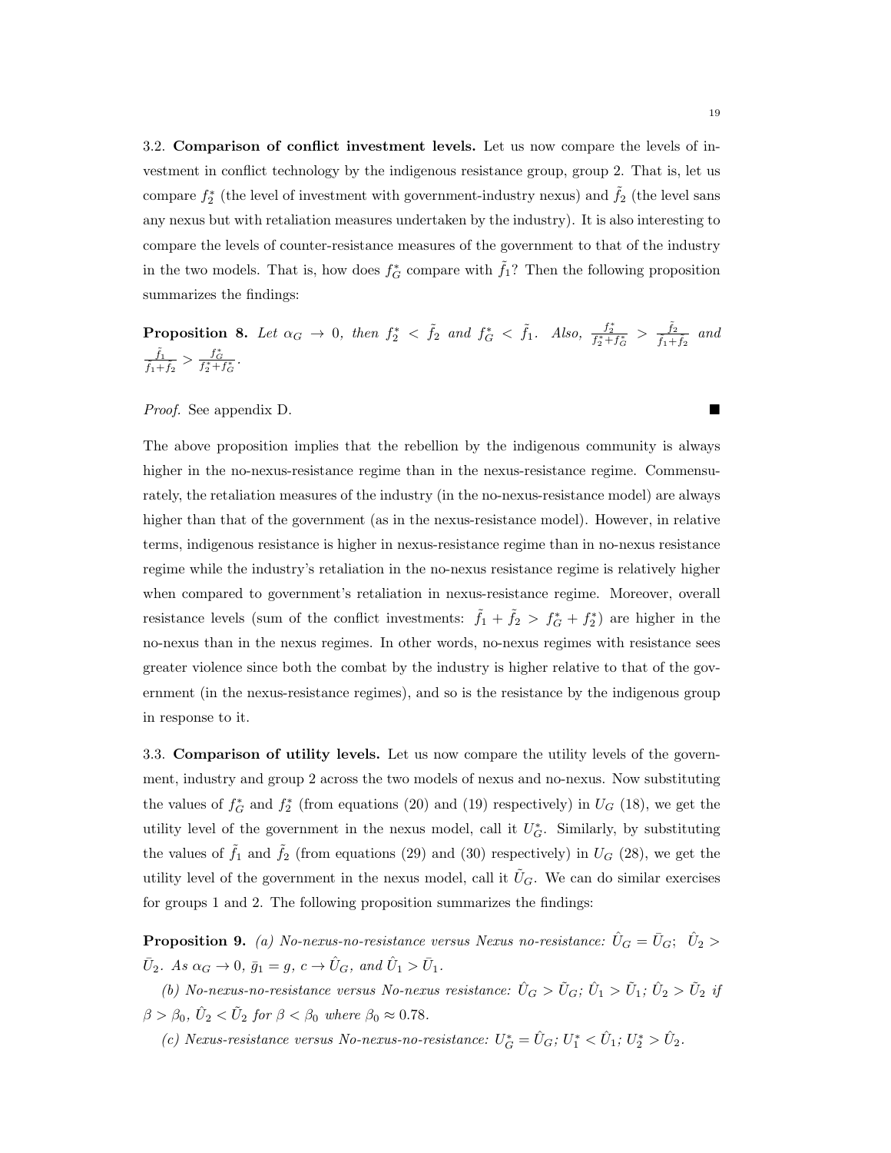3.2. Comparison of conflict investment levels. Let us now compare the levels of investment in conflict technology by the indigenous resistance group, group 2. That is, let us compare  $f_2^*$  (the level of investment with government-industry nexus) and  $\tilde{f}_2$  (the level sans any nexus but with retaliation measures undertaken by the industry). It is also interesting to compare the levels of counter-resistance measures of the government to that of the industry in the two models. That is, how does  $f_G^*$  compare with  $\tilde{f}_1$ ? Then the following proposition summarizes the findings:

**Proposition 8.** Let  $\alpha_G \to 0$ , then  $f_2^* < \tilde{f}_2$  and  $f_G^* < \tilde{f}_1$ . Also,  $\frac{f_2^*}{f_2^*+f_G^*} > \frac{\tilde{f}_2}{\tilde{f}_1+}$  $\frac{f_2}{\tilde{f}_1+\tilde{f}_2}$  and  $\tilde{f}_1$  $\frac{\tilde{f}_1}{\tilde{f}_1+\tilde{f}_2} > \frac{f_G^*}{f_2^*+f_G^*}.$ 

Proof. See appendix D.

The above proposition implies that the rebellion by the indigenous community is always higher in the no-nexus-resistance regime than in the nexus-resistance regime. Commensurately, the retaliation measures of the industry (in the no-nexus-resistance model) are always higher than that of the government (as in the nexus-resistance model). However, in relative terms, indigenous resistance is higher in nexus-resistance regime than in no-nexus resistance regime while the industry's retaliation in the no-nexus resistance regime is relatively higher when compared to government's retaliation in nexus-resistance regime. Moreover, overall resistance levels (sum of the conflict investments:  $\tilde{f}_1 + \tilde{f}_2 > f_G^* + f_2^*$ ) are higher in the no-nexus than in the nexus regimes. In other words, no-nexus regimes with resistance sees greater violence since both the combat by the industry is higher relative to that of the government (in the nexus-resistance regimes), and so is the resistance by the indigenous group in response to it.

3.3. Comparison of utility levels. Let us now compare the utility levels of the government, industry and group 2 across the two models of nexus and no-nexus. Now substituting the values of  $f_G^*$  and  $f_2^*$  (from equations (20) and (19) respectively) in  $U_G$  (18), we get the utility level of the government in the nexus model, call it  $U_G^*$ . Similarly, by substituting the values of  $\tilde{f}_1$  and  $\tilde{f}_2$  (from equations (29) and (30) respectively) in  $U_G$  (28), we get the utility level of the government in the nexus model, call it  $\tilde{U}_G$ . We can do similar exercises for groups 1 and 2. The following proposition summarizes the findings:

**Proposition 9.** (a) No-nexus-no-resistance versus Nexus no-resistance:  $\hat{U}_G = \bar{U}_G$ ;  $\hat{U}_2 >$  $\bar{U}_2$ . As  $\alpha_G \to 0$ ,  $\bar{g}_1 = g$ ,  $c \to \hat{U}_G$ , and  $\hat{U}_1 > \bar{U}_1$ .

(b) No-nexus-no-resistance versus No-nexus resistance:  $\hat{U}_G > \tilde{U}_G$ ;  $\hat{U}_1 > \tilde{U}_1$ ;  $\hat{U}_2 > \tilde{U}_2$  if  $\beta > \beta_0, \hat{U}_2 < \tilde{U}_2$  for  $\beta < \beta_0$  where  $\beta_0 \approx 0.78$ .

(c) Nexus-resistance versus No-nexus-no-resistance:  $U_G^* = \hat{U}_G$ ;  $U_1^* < \hat{U}_1$ ;  $U_2^* > \hat{U}_2$ .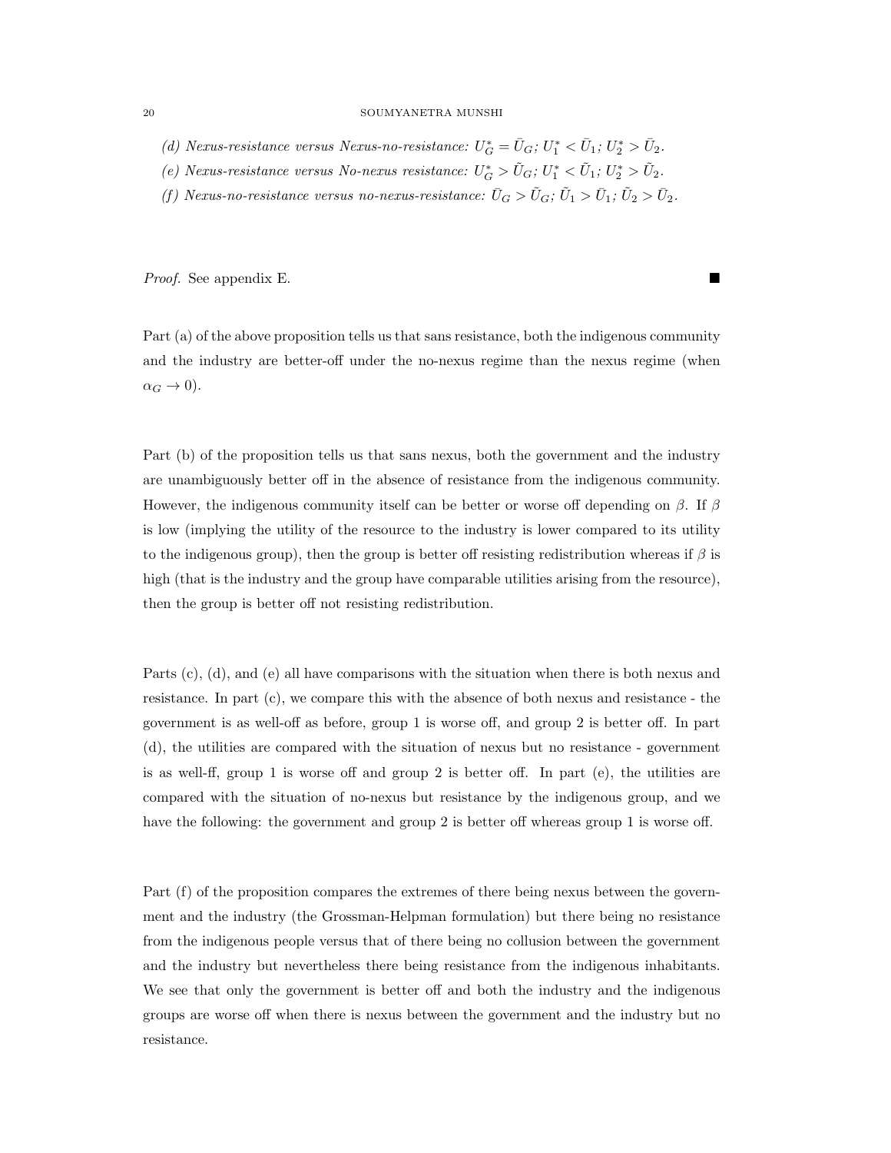- (d) Nexus-resistance versus Nexus-no-resistance:  $U_G^* = \bar{U}_G$ ;  $U_1^* < \bar{U}_1$ ;  $U_2^* > \bar{U}_2$ .
- (e) Nexus-resistance versus No-nexus resistance:  $U_G^* > \tilde{U}_G$ ;  $U_1^* < \tilde{U}_1$ ;  $U_2^* > \tilde{U}_2$ .
- (f) Nexus-no-resistance versus no-nexus-resistance:  $\bar{U}_G > \tilde{U}_G$ ;  $\tilde{U}_1 > \bar{U}_1$ ;  $\tilde{U}_2 > \bar{U}_2$ .

Proof. See appendix E.

Part (a) of the above proposition tells us that sans resistance, both the indigenous community and the industry are better-off under the no-nexus regime than the nexus regime (when  $\alpha_G \to 0$ ).

Part (b) of the proposition tells us that sans nexus, both the government and the industry are unambiguously better off in the absence of resistance from the indigenous community. However, the indigenous community itself can be better or worse off depending on  $\beta$ . If  $\beta$ is low (implying the utility of the resource to the industry is lower compared to its utility to the indigenous group), then the group is better off resisting redistribution whereas if  $\beta$  is high (that is the industry and the group have comparable utilities arising from the resource), then the group is better off not resisting redistribution.

Parts (c), (d), and (e) all have comparisons with the situation when there is both nexus and resistance. In part (c), we compare this with the absence of both nexus and resistance - the government is as well-off as before, group 1 is worse off, and group 2 is better off. In part (d), the utilities are compared with the situation of nexus but no resistance - government is as well-ff, group 1 is worse off and group 2 is better off. In part (e), the utilities are compared with the situation of no-nexus but resistance by the indigenous group, and we have the following: the government and group 2 is better off whereas group 1 is worse off.

Part (f) of the proposition compares the extremes of there being nexus between the government and the industry (the Grossman-Helpman formulation) but there being no resistance from the indigenous people versus that of there being no collusion between the government and the industry but nevertheless there being resistance from the indigenous inhabitants. We see that only the government is better off and both the industry and the indigenous groups are worse off when there is nexus between the government and the industry but no resistance.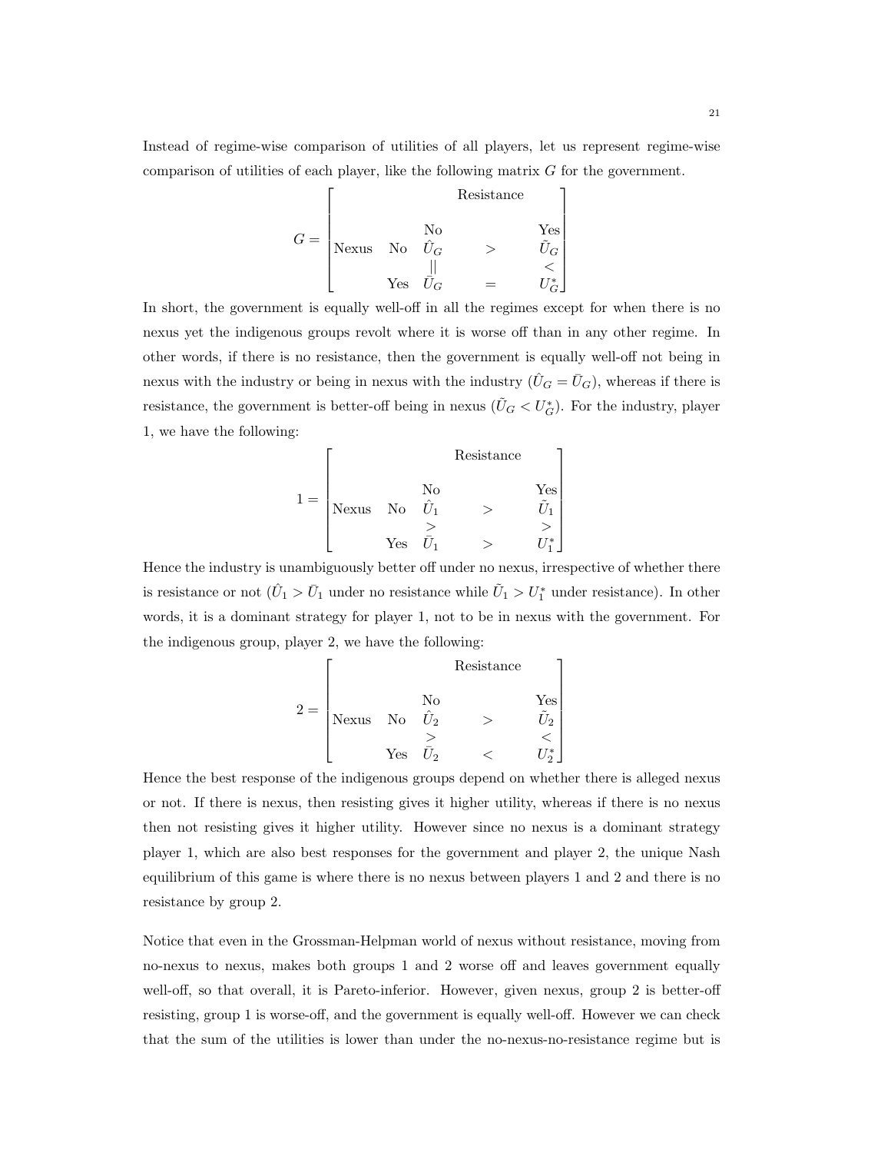Instead of regime-wise comparison of utilities of all players, let us represent regime-wise comparison of utilities of each player, like the following matrix G for the government.

$$
G = \begin{bmatrix} & & & \text{Resistance} \\ & & & \text{No} & & \text{Yes} \\ \text{Nexus} & \text{No} & \hat{U}_G & & & \hat{U}_G \\ & & \text{Yes} & \hat{U}_G & & & \leq \\ & & \text{Yes} & \hat{U}_G & & & \end{bmatrix}
$$

In short, the government is equally well-off in all the regimes except for when there is no nexus yet the indigenous groups revolt where it is worse off than in any other regime. In other words, if there is no resistance, then the government is equally well-off not being in nexus with the industry or being in nexus with the industry  $(\hat{U}_G = \bar{U}_G)$ , whereas if there is resistance, the government is better-off being in nexus  $(\tilde{U}_G < U_G^*)$ . For the industry, player 1, we have the following:

$$
1 = \begin{bmatrix} & & \text{Resistance} \\ & & & \text{Yes} \\ \text{Nexus} & \text{No} & \hat{U}_1 & > & \hat{U}_1 \\ & > & > & \hat{U}_1 \\ & \text{Yes} & \bar{U}_1 & > & U_1^* \end{bmatrix}
$$

Hence the industry is unambiguously better off under no nexus, irrespective of whether there is resistance or not  $(\hat{U}_1 > \bar{U}_1)$  under no resistance while  $\tilde{U}_1 > U_1^*$  under resistance). In other words, it is a dominant strategy for player 1, not to be in nexus with the government. For the indigenous group, player 2, we have the following:

$$
2 = \begin{bmatrix} & & \text{Resistance} \\ & & & \text{Yes} \\ \text{Nexus} & \text{No} & \hat{U}_2 & & & \hat{U}_2 \\ & & \text{Yes} & \bar{U}_2 & & & & \hat{U}_2 \\ & & \text{Yes} & \bar{U}_2 & & & & \hat{U}_2^* \end{bmatrix}
$$

Hence the best response of the indigenous groups depend on whether there is alleged nexus or not. If there is nexus, then resisting gives it higher utility, whereas if there is no nexus then not resisting gives it higher utility. However since no nexus is a dominant strategy player 1, which are also best responses for the government and player 2, the unique Nash equilibrium of this game is where there is no nexus between players 1 and 2 and there is no resistance by group 2.

Notice that even in the Grossman-Helpman world of nexus without resistance, moving from no-nexus to nexus, makes both groups 1 and 2 worse off and leaves government equally well-off, so that overall, it is Pareto-inferior. However, given nexus, group 2 is better-off resisting, group 1 is worse-off, and the government is equally well-off. However we can check that the sum of the utilities is lower than under the no-nexus-no-resistance regime but is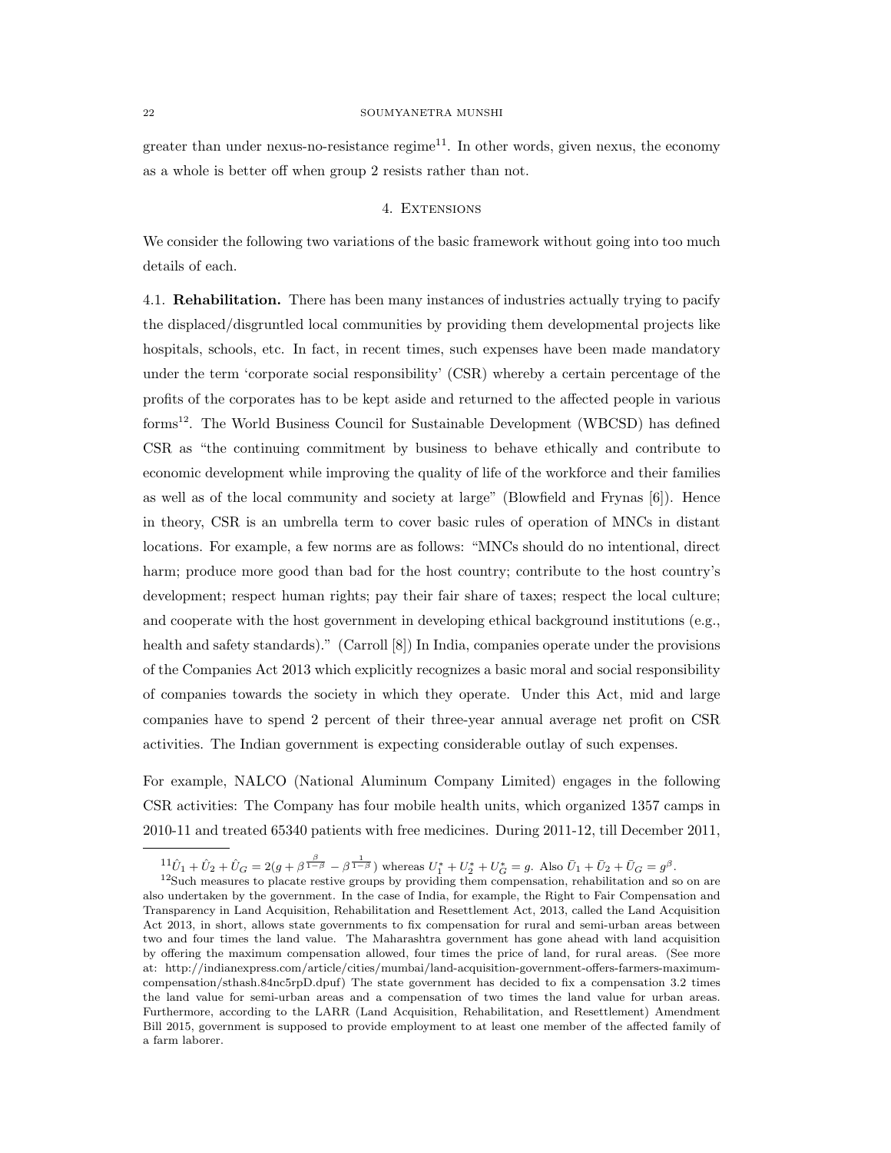greater than under nexus-no-resistance regime<sup>11</sup>. In other words, given nexus, the economy as a whole is better off when group 2 resists rather than not.

### 4. EXTENSIONS

We consider the following two variations of the basic framework without going into too much details of each.

4.1. Rehabilitation. There has been many instances of industries actually trying to pacify the displaced/disgruntled local communities by providing them developmental projects like hospitals, schools, etc. In fact, in recent times, such expenses have been made mandatory under the term 'corporate social responsibility' (CSR) whereby a certain percentage of the profits of the corporates has to be kept aside and returned to the affected people in various forms<sup>12</sup>. The World Business Council for Sustainable Development (WBCSD) has defined CSR as "the continuing commitment by business to behave ethically and contribute to economic development while improving the quality of life of the workforce and their families as well as of the local community and society at large" (Blowfield and Frynas [6]). Hence in theory, CSR is an umbrella term to cover basic rules of operation of MNCs in distant locations. For example, a few norms are as follows: "MNCs should do no intentional, direct harm; produce more good than bad for the host country; contribute to the host country's development; respect human rights; pay their fair share of taxes; respect the local culture; and cooperate with the host government in developing ethical background institutions (e.g., health and safety standards)." (Carroll [8]) In India, companies operate under the provisions of the Companies Act 2013 which explicitly recognizes a basic moral and social responsibility of companies towards the society in which they operate. Under this Act, mid and large companies have to spend 2 percent of their three-year annual average net profit on CSR activities. The Indian government is expecting considerable outlay of such expenses.

For example, NALCO (National Aluminum Company Limited) engages in the following CSR activities: The Company has four mobile health units, which organized 1357 camps in 2010-11 and treated 65340 patients with free medicines. During 2011-12, till December 2011,

 $\frac{11}{10}\hat{U}_1 + \hat{U}_2 + \hat{U}_G = 2(g + \beta^{\frac{\beta}{1-\beta}} - \beta^{\frac{1}{1-\beta}})$  whereas  $U_1^* + U_2^* + U_G^* = g$ . Also  $\bar{U}_1 + \bar{U}_2 + \bar{U}_G = g^{\beta}$ .

 $12$ Such measures to placate restive groups by providing them compensation, rehabilitation and so on are also undertaken by the government. In the case of India, for example, the Right to Fair Compensation and Transparency in Land Acquisition, Rehabilitation and Resettlement Act, 2013, called the Land Acquisition Act 2013, in short, allows state governments to fix compensation for rural and semi-urban areas between two and four times the land value. The Maharashtra government has gone ahead with land acquisition by offering the maximum compensation allowed, four times the price of land, for rural areas. (See more at: http://indianexpress.com/article/cities/mumbai/land-acquisition-government-offers-farmers-maximumcompensation/sthash.84nc5rpD.dpuf) The state government has decided to fix a compensation 3.2 times the land value for semi-urban areas and a compensation of two times the land value for urban areas. Furthermore, according to the LARR (Land Acquisition, Rehabilitation, and Resettlement) Amendment Bill 2015, government is supposed to provide employment to at least one member of the affected family of a farm laborer.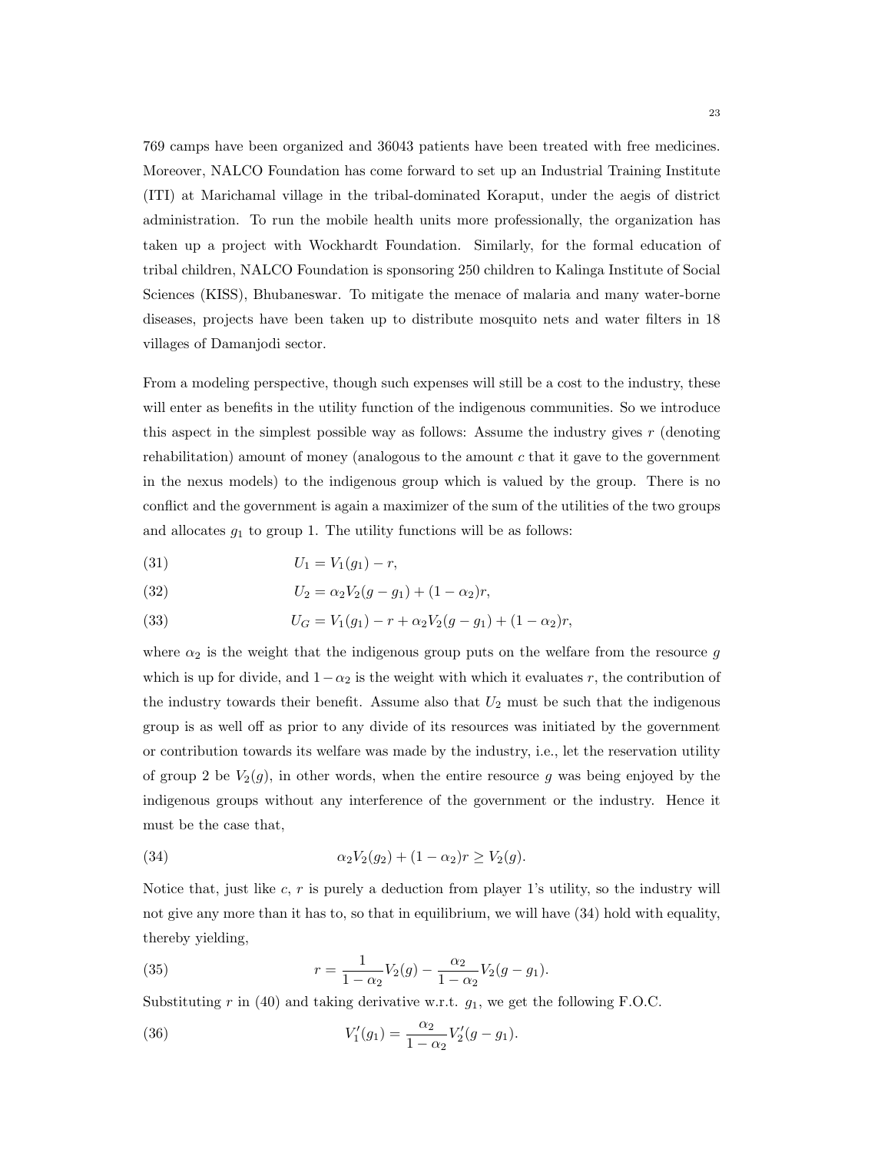769 camps have been organized and 36043 patients have been treated with free medicines. Moreover, NALCO Foundation has come forward to set up an Industrial Training Institute (ITI) at Marichamal village in the tribal-dominated Koraput, under the aegis of district administration. To run the mobile health units more professionally, the organization has taken up a project with Wockhardt Foundation. Similarly, for the formal education of tribal children, NALCO Foundation is sponsoring 250 children to Kalinga Institute of Social Sciences (KISS), Bhubaneswar. To mitigate the menace of malaria and many water-borne diseases, projects have been taken up to distribute mosquito nets and water filters in 18 villages of Damanjodi sector.

From a modeling perspective, though such expenses will still be a cost to the industry, these will enter as benefits in the utility function of the indigenous communities. So we introduce this aspect in the simplest possible way as follows: Assume the industry gives  $r$  (denoting rehabilitation) amount of money (analogous to the amount  $c$  that it gave to the government in the nexus models) to the indigenous group which is valued by the group. There is no conflict and the government is again a maximizer of the sum of the utilities of the two groups and allocates  $g_1$  to group 1. The utility functions will be as follows:

$$
(31) \t\t\t U_1 = V_1(g_1) - r,
$$

(32) 
$$
U_2 = \alpha_2 V_2 (g - g_1) + (1 - \alpha_2) r,
$$

(33) 
$$
U_G = V_1(g_1) - r + \alpha_2 V_2(g - g_1) + (1 - \alpha_2)r,
$$

where  $\alpha_2$  is the weight that the indigenous group puts on the welfare from the resource g which is up for divide, and  $1-\alpha_2$  is the weight with which it evaluates r, the contribution of the industry towards their benefit. Assume also that  $U_2$  must be such that the indigenous group is as well off as prior to any divide of its resources was initiated by the government or contribution towards its welfare was made by the industry, i.e., let the reservation utility of group 2 be  $V_2(g)$ , in other words, when the entire resource g was being enjoyed by the indigenous groups without any interference of the government or the industry. Hence it must be the case that,

(34) 
$$
\alpha_2 V_2(g_2) + (1 - \alpha_2) r \ge V_2(g).
$$

Notice that, just like  $c, r$  is purely a deduction from player 1's utility, so the industry will not give any more than it has to, so that in equilibrium, we will have (34) hold with equality, thereby yielding,

(35) 
$$
r = \frac{1}{1 - \alpha_2} V_2(g) - \frac{\alpha_2}{1 - \alpha_2} V_2(g - g_1).
$$

Substituting r in (40) and taking derivative w.r.t.  $g_1$ , we get the following F.O.C.

(36) 
$$
V'_1(g_1) = \frac{\alpha_2}{1 - \alpha_2} V'_2(g - g_1).
$$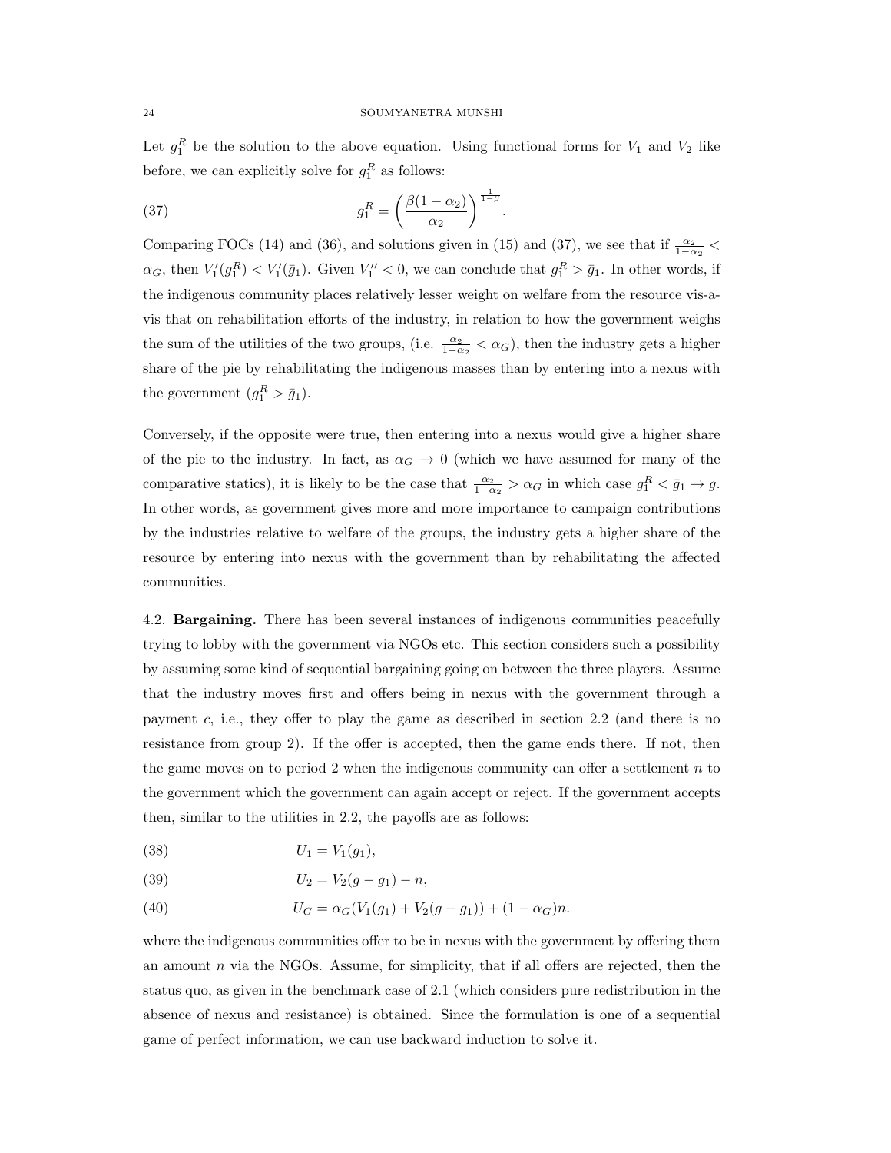Let  $g_1^R$  be the solution to the above equation. Using functional forms for  $V_1$  and  $V_2$  like before, we can explicitly solve for  $g_1^R$  as follows:

(37) 
$$
g_1^R = \left(\frac{\beta(1-\alpha_2)}{\alpha_2}\right)^{\frac{1}{1-\beta}}.
$$

Comparing FOCs (14) and (36), and solutions given in (15) and (37), we see that if  $\frac{\alpha_2}{1-\alpha_2}$  <  $\alpha_G$ , then  $V'_1(g_1^R) < V'_1(\bar{g}_1)$ . Given  $V''_1 < 0$ , we can conclude that  $g_1^R > \bar{g}_1$ . In other words, if the indigenous community places relatively lesser weight on welfare from the resource vis-avis that on rehabilitation efforts of the industry, in relation to how the government weighs the sum of the utilities of the two groups, (i.e.  $\frac{\alpha_2}{1-\alpha_2} < \alpha_G$ ), then the industry gets a higher share of the pie by rehabilitating the indigenous masses than by entering into a nexus with the government  $(g_1^R > \bar{g}_1)$ .

Conversely, if the opposite were true, then entering into a nexus would give a higher share of the pie to the industry. In fact, as  $\alpha_G \to 0$  (which we have assumed for many of the comparative statics), it is likely to be the case that  $\frac{\alpha_2}{1-\alpha_2} > \alpha_G$  in which case  $g_1^R < \bar{g}_1 \to g$ . In other words, as government gives more and more importance to campaign contributions by the industries relative to welfare of the groups, the industry gets a higher share of the resource by entering into nexus with the government than by rehabilitating the affected communities.

4.2. Bargaining. There has been several instances of indigenous communities peacefully trying to lobby with the government via NGOs etc. This section considers such a possibility by assuming some kind of sequential bargaining going on between the three players. Assume that the industry moves first and offers being in nexus with the government through a payment c, i.e., they offer to play the game as described in section 2.2 (and there is no resistance from group 2). If the offer is accepted, then the game ends there. If not, then the game moves on to period 2 when the indigenous community can offer a settlement  $n$  to the government which the government can again accept or reject. If the government accepts then, similar to the utilities in 2.2, the payoffs are as follows:

(38) 
$$
U_1 = V_1(g_1),
$$

(39) 
$$
U_2 = V_2(g - g_1) - n,
$$

(40)  $U_G = \alpha_G(V_1(g_1) + V_2(g - g_1)) + (1 - \alpha_G)n.$ 

where the indigenous communities offer to be in nexus with the government by offering them an amount  $n$  via the NGOs. Assume, for simplicity, that if all offers are rejected, then the status quo, as given in the benchmark case of 2.1 (which considers pure redistribution in the absence of nexus and resistance) is obtained. Since the formulation is one of a sequential game of perfect information, we can use backward induction to solve it.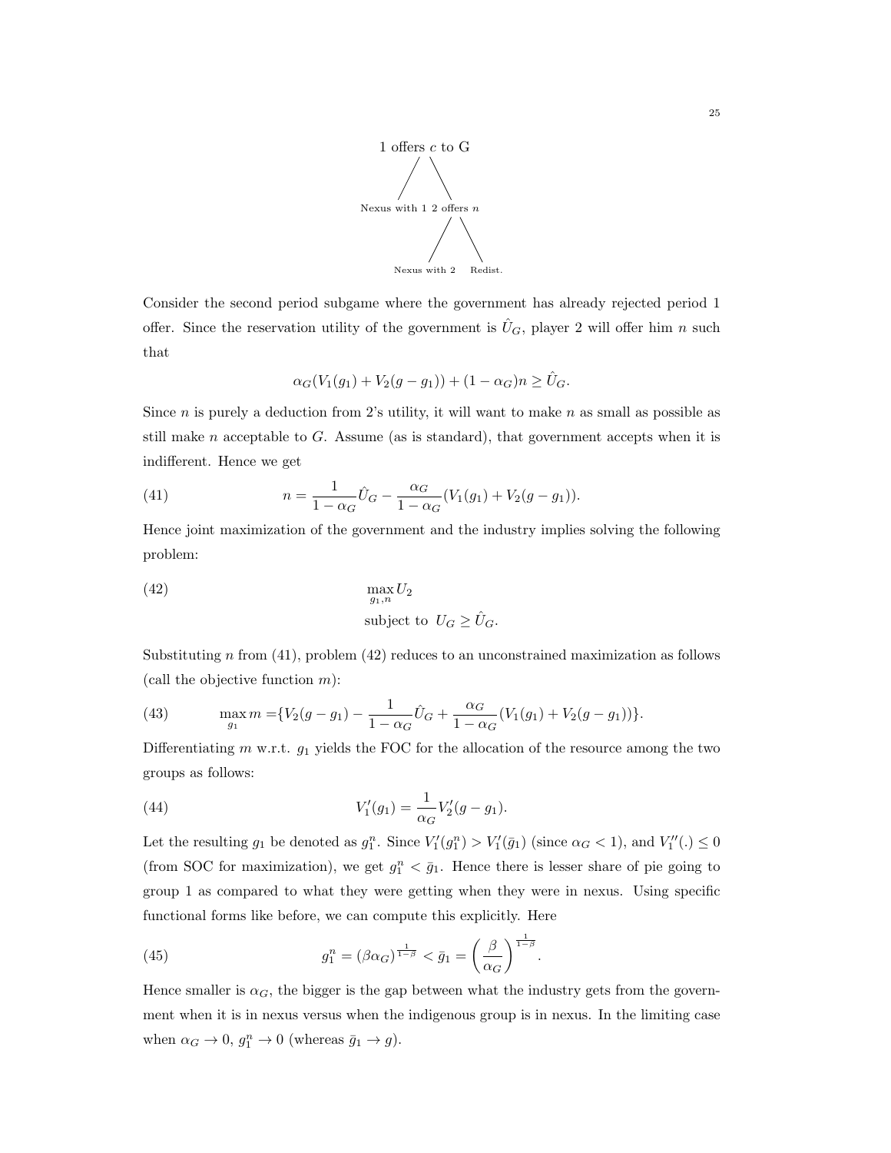

Consider the second period subgame where the government has already rejected period 1 offer. Since the reservation utility of the government is  $\hat{U}_G$ , player 2 will offer him n such that

$$
\alpha_G(V_1(g_1) + V_2(g - g_1)) + (1 - \alpha_G)n \ge \hat{U}_G.
$$

Since  $n$  is purely a deduction from 2's utility, it will want to make  $n$  as small as possible as still make n acceptable to G. Assume (as is standard), that government accepts when it is indifferent. Hence we get

(41) 
$$
n = \frac{1}{1 - \alpha_G} \hat{U}_G - \frac{\alpha_G}{1 - \alpha_G} (V_1(g_1) + V_2(g - g_1)).
$$

Hence joint maximization of the government and the industry implies solving the following problem:

(42) 
$$
\max_{g_1, n} U_2
$$
  
subject to  $U_G \ge \hat{U}_G$ .

Substituting n from (41), problem (42) reduces to an unconstrained maximization as follows (call the objective function  $m$ ):

(43) 
$$
\max_{g_1} m = \{ V_2(g - g_1) - \frac{1}{1 - \alpha_G} \hat{U}_G + \frac{\alpha_G}{1 - \alpha_G} (V_1(g_1) + V_2(g - g_1)) \}.
$$

Differentiating  $m$  w.r.t.  $g_1$  yields the FOC for the allocation of the resource among the two groups as follows:

(44) 
$$
V'_1(g_1) = \frac{1}{\alpha_G} V'_2(g - g_1).
$$

Let the resulting  $g_1$  be denoted as  $g_1^n$ . Since  $V_1'(g_1^n) > V_1'(\bar{g}_1)$  (since  $\alpha_G < 1$ ), and  $V_1''(.) \leq 0$ (from SOC for maximization), we get  $g_1^n < \bar{g}_1$ . Hence there is lesser share of pie going to group 1 as compared to what they were getting when they were in nexus. Using specific functional forms like before, we can compute this explicitly. Here

(45) 
$$
g_1^n = (\beta \alpha_G)^{\frac{1}{1-\beta}} < \bar{g}_1 = \left(\frac{\beta}{\alpha_G}\right)^{\frac{1}{1-\beta}}
$$

Hence smaller is  $\alpha_G$ , the bigger is the gap between what the industry gets from the government when it is in nexus versus when the indigenous group is in nexus. In the limiting case when  $\alpha_G \to 0$ ,  $g_1^n \to 0$  (whereas  $\bar{g}_1 \to g$ ).

.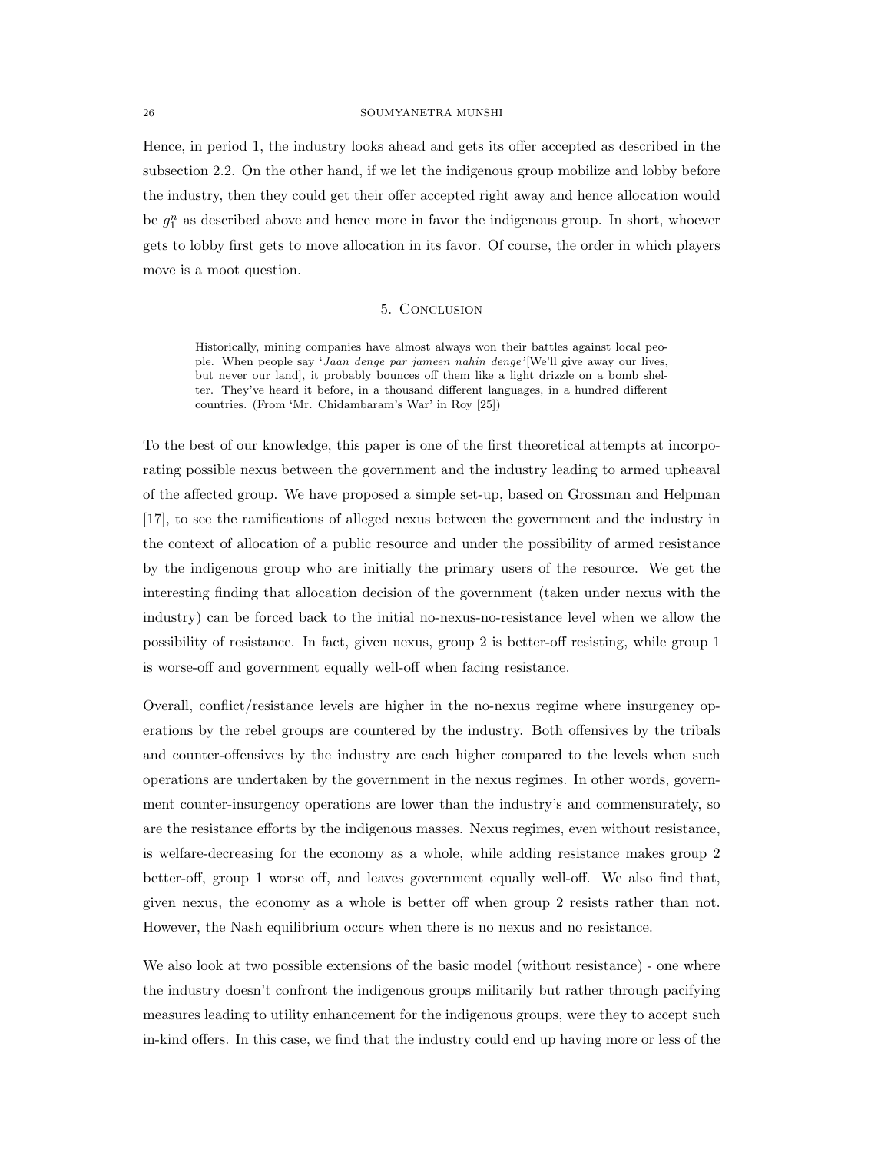Hence, in period 1, the industry looks ahead and gets its offer accepted as described in the subsection 2.2. On the other hand, if we let the indigenous group mobilize and lobby before the industry, then they could get their offer accepted right away and hence allocation would be  $g_1^n$  as described above and hence more in favor the indigenous group. In short, whoever gets to lobby first gets to move allocation in its favor. Of course, the order in which players move is a moot question.

## 5. Conclusion

Historically, mining companies have almost always won their battles against local people. When people say 'Jaan denge par jameen nahin denge'[We'll give away our lives, but never our land], it probably bounces off them like a light drizzle on a bomb shelter. They've heard it before, in a thousand different languages, in a hundred different countries. (From 'Mr. Chidambaram's War' in Roy [25])

To the best of our knowledge, this paper is one of the first theoretical attempts at incorporating possible nexus between the government and the industry leading to armed upheaval of the affected group. We have proposed a simple set-up, based on Grossman and Helpman [17], to see the ramifications of alleged nexus between the government and the industry in the context of allocation of a public resource and under the possibility of armed resistance by the indigenous group who are initially the primary users of the resource. We get the interesting finding that allocation decision of the government (taken under nexus with the industry) can be forced back to the initial no-nexus-no-resistance level when we allow the possibility of resistance. In fact, given nexus, group 2 is better-off resisting, while group 1 is worse-off and government equally well-off when facing resistance.

Overall, conflict/resistance levels are higher in the no-nexus regime where insurgency operations by the rebel groups are countered by the industry. Both offensives by the tribals and counter-offensives by the industry are each higher compared to the levels when such operations are undertaken by the government in the nexus regimes. In other words, government counter-insurgency operations are lower than the industry's and commensurately, so are the resistance efforts by the indigenous masses. Nexus regimes, even without resistance, is welfare-decreasing for the economy as a whole, while adding resistance makes group 2 better-off, group 1 worse off, and leaves government equally well-off. We also find that, given nexus, the economy as a whole is better off when group 2 resists rather than not. However, the Nash equilibrium occurs when there is no nexus and no resistance.

We also look at two possible extensions of the basic model (without resistance) - one where the industry doesn't confront the indigenous groups militarily but rather through pacifying measures leading to utility enhancement for the indigenous groups, were they to accept such in-kind offers. In this case, we find that the industry could end up having more or less of the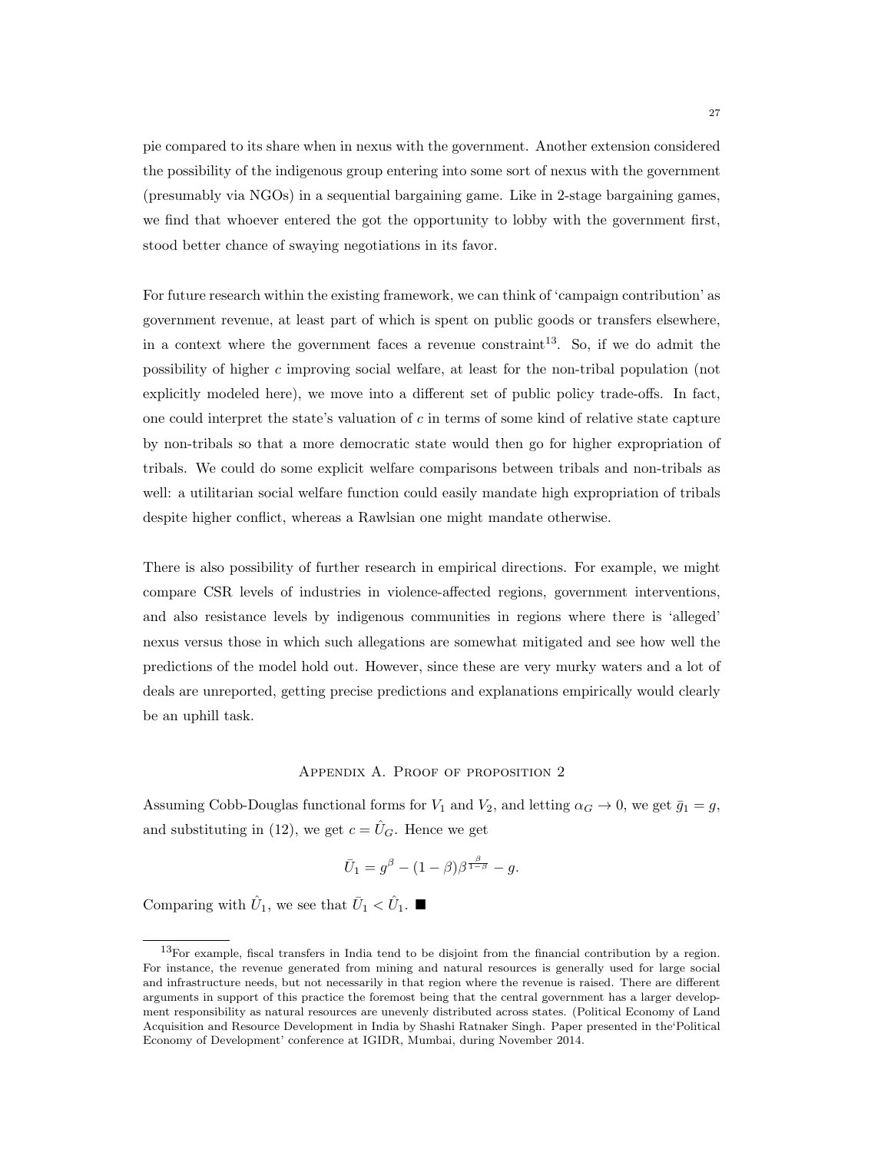pie compared to its share when in nexus with the government. Another extension considered the possibility of the indigenous group entering into some sort of nexus with the government (presumably via NGOs) in a sequential bargaining game. Like in 2-stage bargaining games, we find that whoever entered the got the opportunity to lobby with the government first, stood better chance of swaying negotiations in its favor.

For future research within the existing framework, we can think of 'campaign contribution' as government revenue, at least part of which is spent on public goods or transfers elsewhere, in a context where the government faces a revenue constraint<sup>13</sup>. So, if we do admit the possibility of higher c improving social welfare, at least for the non-tribal population (not explicitly modeled here), we move into a different set of public policy trade-offs. In fact, one could interpret the state's valuation of  $c$  in terms of some kind of relative state capture by non-tribals so that a more democratic state would then go for higher expropriation of tribals. We could do some explicit welfare comparisons between tribals and non-tribals as well: a utilitarian social welfare function could easily mandate high expropriation of tribals despite higher conflict, whereas a Rawlsian one might mandate otherwise.

There is also possibility of further research in empirical directions. For example, we might compare CSR levels of industries in violence-affected regions, government interventions, and also resistance levels by indigenous communities in regions where there is 'alleged' nexus versus those in which such allegations are somewhat mitigated and see how well the predictions of the model hold out. However, since these are very murky waters and a lot of deals are unreported, getting precise predictions and explanations empirically would clearly be an uphill task.

#### Appendix A. Proof of proposition 2

Assuming Cobb-Douglas functional forms for  $V_1$  and  $V_2$ , and letting  $\alpha_G \to 0$ , we get  $\bar{g}_1 = g$ , and substituting in (12), we get  $c = \hat{U}_G$ . Hence we get

$$
\bar{U}_1 = g^{\beta} - (1 - \beta)\beta^{\frac{\beta}{1 - \beta}} - g.
$$

Comparing with  $\hat{U}_1$ , we see that  $\bar{U}_1 < \hat{U}_1$ .

 $13$ For example, fiscal transfers in India tend to be disjoint from the financial contribution by a region. For instance, the revenue generated from mining and natural resources is generally used for large social and infrastructure needs, but not necessarily in that region where the revenue is raised. There are different arguments in support of this practice the foremost being that the central government has a larger development responsibility as natural resources are unevenly distributed across states. (Political Economy of Land Acquisition and Resource Development in India by Shashi Ratnaker Singh. Paper presented in the'Political Economy of Development' conference at IGIDR, Mumbai, during November 2014.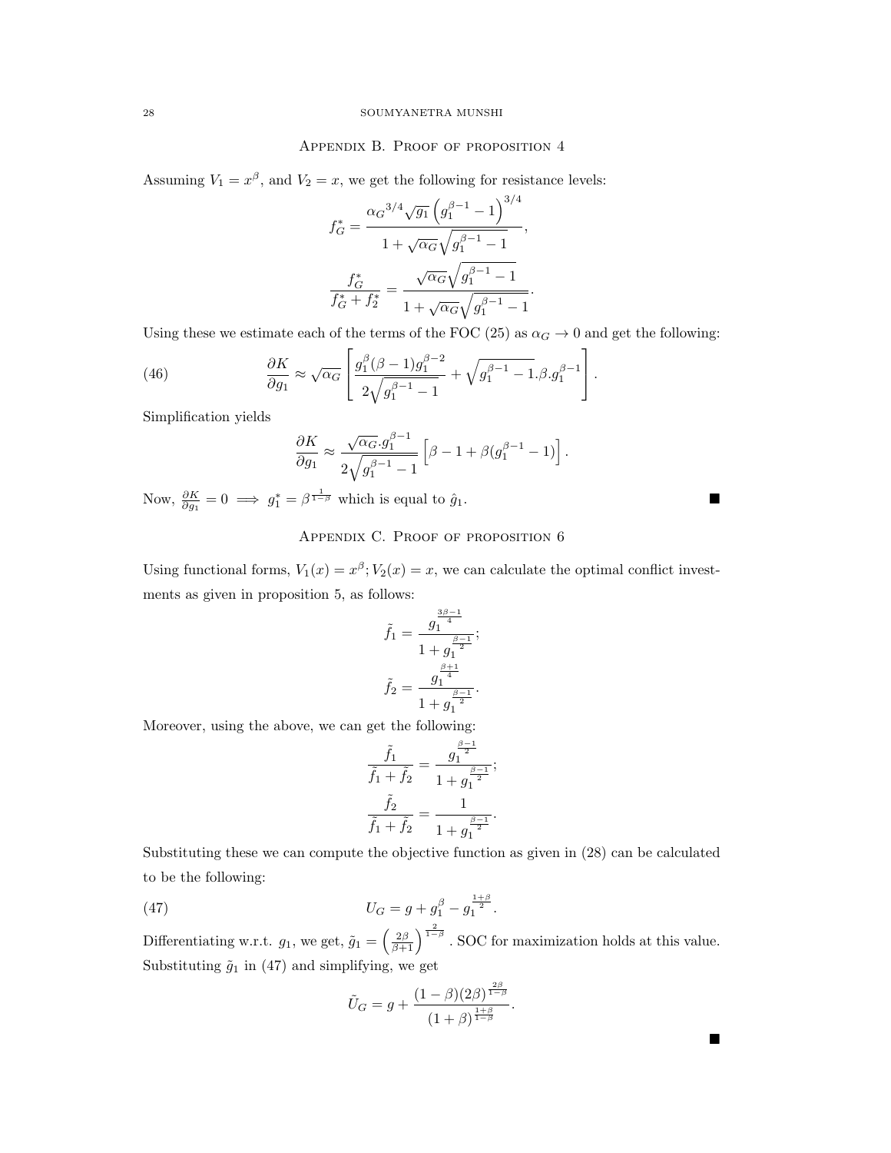# Appendix B. Proof of proposition 4

Assuming  $V_1 = x^{\beta}$ , and  $V_2 = x$ , we get the following for resistance levels:

$$
f_G^* = \frac{\alpha_G^{3/4} \sqrt{g_1} \left( g_1^{\beta - 1} - 1 \right)^{3/4}}{1 + \sqrt{\alpha_G} \sqrt{g_1^{\beta - 1} - 1}},
$$

$$
\frac{f_G^*}{f_G^* + f_2^*} = \frac{\sqrt{\alpha_G} \sqrt{g_1^{\beta - 1} - 1}}{1 + \sqrt{\alpha_G} \sqrt{g_1^{\beta - 1} - 1}}.
$$

Using these we estimate each of the terms of the FOC (25) as  $\alpha_G \to 0$  and get the following:

(46) 
$$
\frac{\partial K}{\partial g_1} \approx \sqrt{\alpha_G} \left[ \frac{g_1^{\beta} (\beta - 1) g_1^{\beta - 2}}{2 \sqrt{g_1^{\beta - 1} - 1}} + \sqrt{g_1^{\beta - 1} - 1} . \beta . g_1^{\beta - 1} \right].
$$

Simplification yields

$$
\frac{\partial K}{\partial g_1} \approx \frac{\sqrt{\alpha_G} . g_1^{\beta - 1}}{2\sqrt{g_1^{\beta - 1} - 1}} \left[ \beta - 1 + \beta (g_1^{\beta - 1} - 1) \right].
$$

Now,  $\frac{\partial K}{\partial g_1} = 0 \implies g_1^* = \beta^{\frac{1}{1-\beta}}$  which is equal to  $\hat{g}_1$ .

# APPENDIX C. PROOF OF PROPOSITION 6

Using functional forms,  $V_1(x) = x^{\beta}$ ;  $V_2(x) = x$ , we can calculate the optimal conflict investments as given in proposition 5, as follows:

$$
\tilde{f}_1 = \frac{g_1^{\frac{3\beta - 1}{4}}}{1 + g_1^{\frac{\beta - 1}{2}}};
$$

$$
\tilde{f}_2 = \frac{g_1^{\frac{\beta + 1}{4}}}{1 + g_1^{\frac{\beta - 1}{2}}}.
$$

Moreover, using the above, we can get the following:

$$
\frac{\tilde{f}_1}{\tilde{f}_1 + \tilde{f}_2} = \frac{g_1^{\frac{\beta - 1}{2}}}{1 + g_1^{\frac{\beta - 1}{2}}};
$$

$$
\frac{\tilde{f}_2}{\tilde{f}_1 + \tilde{f}_2} = \frac{1}{1 + g_1^{\frac{\beta - 1}{2}}}.
$$

Substituting these we can compute the objective function as given in (28) can be calculated to be the following:

(47) 
$$
U_G = g + g_1^{\beta} - g_1^{\frac{1+\beta}{2}}.
$$

Differentiating w.r.t.  $g_1$ , we get,  $\tilde{g}_1 = \left(\frac{2\beta}{\beta+1}\right)^{\frac{2}{1-\beta}}$ . SOC for maximization holds at this value. Substituting  $\tilde{g}_1$  in (47) and simplifying, we get

$$
\tilde{U}_G = g + \frac{(1 - \beta)(2\beta)^{\frac{2\beta}{1 - \beta}}}{(1 + \beta)^{\frac{1 + \beta}{1 - \beta}}}.
$$

 $\blacksquare$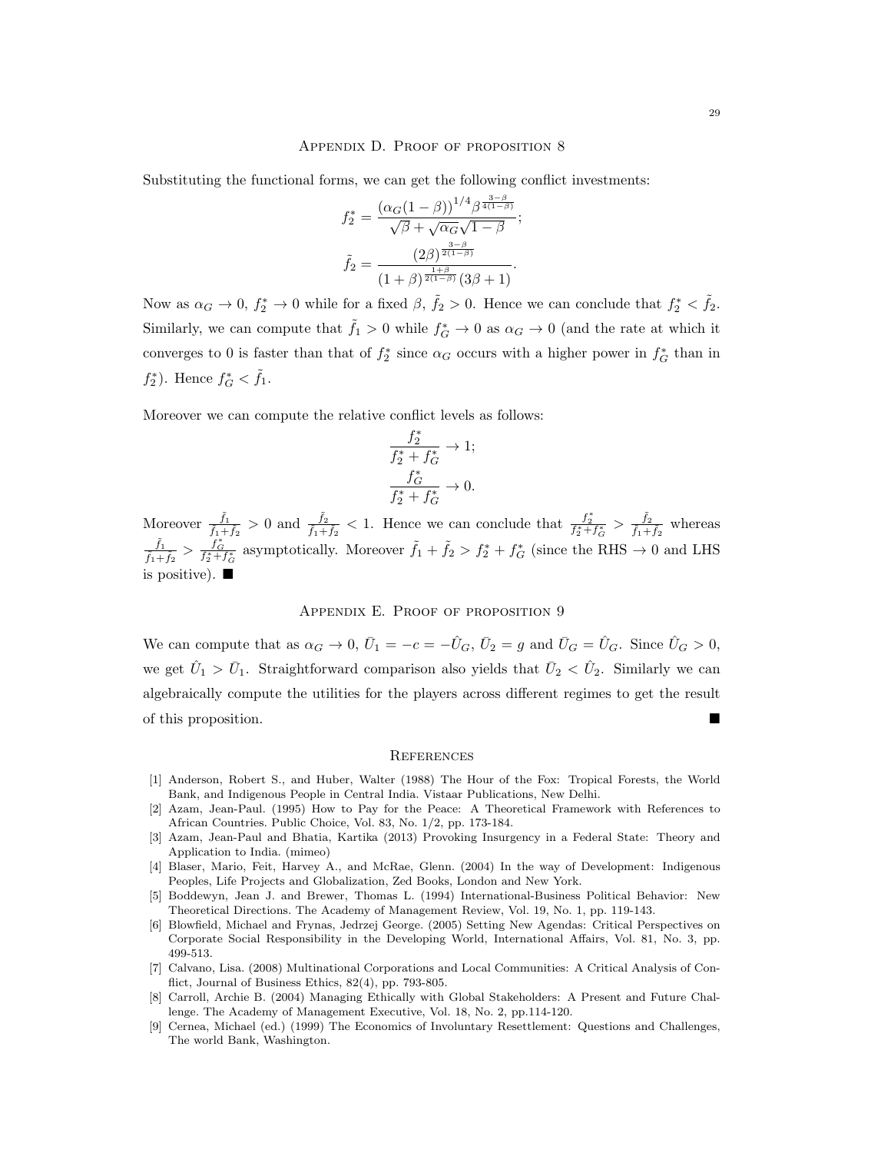#### Appendix D. Proof of proposition 8

Substituting the functional forms, we can get the following conflict investments:

$$
f_2^* = \frac{(\alpha_G(1-\beta))^{1/4} \beta^{\frac{3-\beta}{4(1-\beta)}}}{\sqrt{\beta} + \sqrt{\alpha_G} \sqrt{1-\beta}};
$$

$$
\tilde{f}_2 = \frac{(2\beta)^{\frac{3-\beta}{2(1-\beta)}}}{(1+\beta)^{\frac{1+\beta}{2(1-\beta)}}(3\beta+1)}.
$$

Now as  $\alpha_G \to 0$ ,  $f_2^* \to 0$  while for a fixed  $\beta$ ,  $\tilde{f}_2 > 0$ . Hence we can conclude that  $f_2^* < \tilde{f}_2$ . Similarly, we can compute that  $\tilde{f}_1 > 0$  while  $f_G^* \to 0$  as  $\alpha_G \to 0$  (and the rate at which it converges to 0 is faster than that of  $f_2^*$  since  $\alpha_G$  occurs with a higher power in  $f_G^*$  than in  $f_2^*$ ). Hence  $f_G^* < \tilde{f}_1$ .

Moreover we can compute the relative conflict levels as follows:

$$
\frac{f_2^*}{f_2^* + f_G^*} \to 1;
$$
  

$$
\frac{f_G^*}{f_2^* + f_G^*} \to 0.
$$

Moreover  $\frac{\tilde{f}_1}{\tilde{f}_1+\tilde{f}_2} > 0$  and  $\frac{\tilde{f}_2}{\tilde{f}_1+\tilde{f}_2} < 1$ . Hence we can conclude that  $\frac{f_2^*}{f_2^*+f_6^*} > \frac{\tilde{f}_2}{\tilde{f}_1+\tilde{f}_3}$  $\frac{f_2}{\tilde{f}_1+\tilde{f}_2}$  whereas  $\tilde{f}_1$  $\frac{\tilde{f}_1}{\tilde{f}_1+\tilde{f}_2} > \frac{f_G^*}{f_2^*+f_G^*}$  asymptotically. Moreover  $\tilde{f}_1 + \tilde{f}_2 > f_2^* + f_G^*$  (since the RHS  $\rightarrow 0$  and LHS is positive).  $\blacksquare$ 

# APPENDIX E. PROOF OF PROPOSITION 9

We can compute that as  $\alpha_G \to 0$ ,  $\bar{U}_1 = -c = -\hat{U}_G$ ,  $\bar{U}_2 = g$  and  $\bar{U}_G = \hat{U}_G$ . Since  $\hat{U}_G > 0$ , we get  $\hat{U}_1 > \bar{U}_1$ . Straightforward comparison also yields that  $\bar{U}_2 < \hat{U}_2$ . Similarly we can algebraically compute the utilities for the players across different regimes to get the result of this proposition.

#### **REFERENCES**

- [1] Anderson, Robert S., and Huber, Walter (1988) The Hour of the Fox: Tropical Forests, the World Bank, and Indigenous People in Central India. Vistaar Publications, New Delhi.
- [2] Azam, Jean-Paul. (1995) How to Pay for the Peace: A Theoretical Framework with References to African Countries. Public Choice, Vol. 83, No. 1/2, pp. 173-184.
- [3] Azam, Jean-Paul and Bhatia, Kartika (2013) Provoking Insurgency in a Federal State: Theory and Application to India. (mimeo)
- [4] Blaser, Mario, Feit, Harvey A., and McRae, Glenn. (2004) In the way of Development: Indigenous Peoples, Life Projects and Globalization, Zed Books, London and New York.
- [5] Boddewyn, Jean J. and Brewer, Thomas L. (1994) International-Business Political Behavior: New Theoretical Directions. The Academy of Management Review, Vol. 19, No. 1, pp. 119-143.
- [6] Blowfield, Michael and Frynas, Jedrzej George. (2005) Setting New Agendas: Critical Perspectives on Corporate Social Responsibility in the Developing World, International Affairs, Vol. 81, No. 3, pp. 499-513.
- [7] Calvano, Lisa. (2008) Multinational Corporations and Local Communities: A Critical Analysis of Conflict, Journal of Business Ethics, 82(4), pp. 793-805.
- [8] Carroll, Archie B. (2004) Managing Ethically with Global Stakeholders: A Present and Future Challenge. The Academy of Management Executive, Vol. 18, No. 2, pp.114-120.
- [9] Cernea, Michael (ed.) (1999) The Economics of Involuntary Resettlement: Questions and Challenges, The world Bank, Washington.